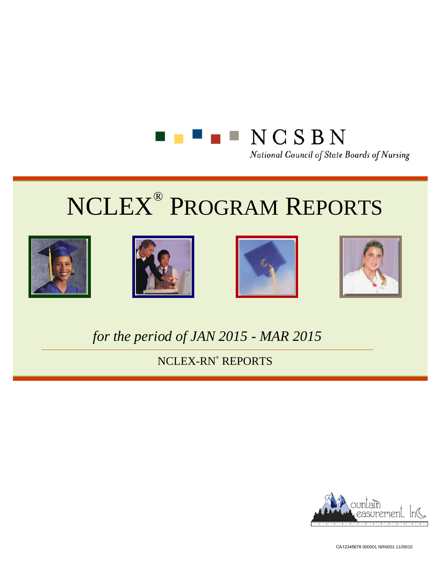









*for the period of JAN 2015 - MAR 2015*

NCLEX-RN® REPORTS



CA12345678 000001 NRN001 11/09/15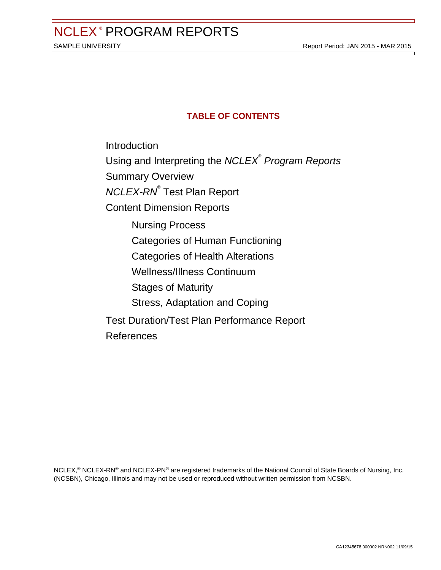# **TABLE OF CONTENTS**

[Introduction](#page-2-0) Using and Interpreting the NCLEX<sup>®</sup> Program Reports [Summary](#page-3-0) Overview [NCLEX-RN](#page-5-0)<sup>®</sup> Test Plan Report [Content Dimension Reports](#page-11-0) [Nursing Process](#page-17-0) [Categories of Hu](#page-17-0)man Functioning [Categories of Health Alterations](#page-22-0) [Wellness/Illness Continuum](#page-27-0) [Stages of Maturity](#page-32-0) [Stress, Adaptation](#page-37-0) and Coping Test [Duration/Test Plan Performance](#page-42-0) Report [References](#page-47-0)

NCLEX,® NCLEX-RN® and NCLEX-PN® are registered trademarks of the National Council of State Boards of Nursing, Inc. (NCSBN), Chicago, Illinois and may not be used or reproduced without written permission from NCSBN.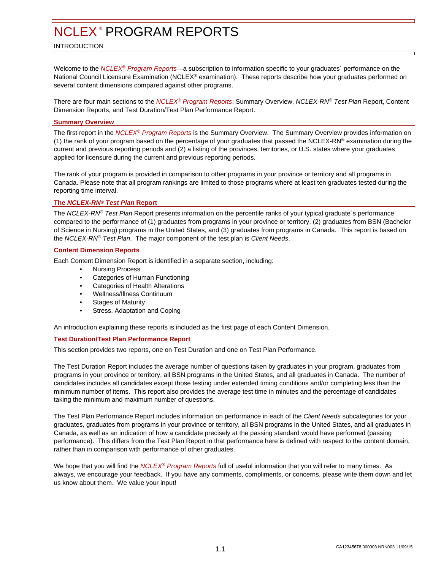#### <span id="page-2-0"></span>INTRODUCTION

Welcome to the NCLEX<sup>®</sup> Program Reports—a subscription to information specific to your graduates<sup>2</sup> performance on the National Council Licensure Examination (NCLEX® examination). These reports describe how your graduates performed on several content dimensions compared against other programs.

There are four main sections to the NCLEX® Program Reports: Summary Overview, NCLEX-RN® Test Plan Report, Content Dimension Reports, and Test Duration/Test Plan Performance Report.

#### **Summary Overview**

The first report in the NCLEX® Program Reports is the Summary Overview. The Summary Overview provides information on (1) the rank of your program based on the percentage of your graduates that passed the NCLEX-RN® examination during the current and previous reporting periods and (2) a listing of the provinces, territories, or U.S. states where your graduates applied for licensure during the current and previous reporting periods.

The rank of your program is provided in comparison to other programs in your province or territory and all programs in Canada. Please note that all program rankings are limited to those programs where at least ten graduates tested during the reporting time interval.

#### **The NCLEX-RN® Test Plan Report**

The NCLEX-RN® Test Plan Report presents information on the percentile ranks of your typical graduate's performance compared to the performance of (1) graduates from programs in your province or territory, (2) graduates from BSN (Bachelor of Science in Nursing) programs in the United States, and (3) graduates from programs in Canada. This report is based on the NCLEX-RN® Test Plan. The major component of the test plan is Client Needs.

#### **Content Dimension Reports**

Each Content Dimension Report is identified in a separate section, including:

- Nursing Process
- Categories of Human Functioning
- Categories of Health Alterations
- Wellness/Illness Continuum
- **Stages of Maturity**
- Stress, Adaptation and Coping

An introduction explaining these reports is included as the first page of each Content Dimension.

#### **Test Duration/Test Plan Performance Report**

This section provides two reports, one on Test Duration and one on Test Plan Performance.

The Test Duration Report includes the average number of questions taken by graduates in your program, graduates from programs in your province or territory, all BSN programs in the United States, and all graduates in Canada. The number of candidates includes all candidates except those testing under extended timing conditions and/or completing less than the minimum number of items. This report also provides the average test time in minutes and the percentage of candidates taking the minimum and maximum number of questions.

The Test Plan Performance Report includes information on performance in each of the Client Needs subcategories for your graduates, graduates from programs in your province or territory, all BSN programs in the United States, and all graduates in Canada, as well as an indication of how a candidate precisely at the passing standard would have performed (passing performance). This differs from the Test Plan Report in that performance here is defined with respect to the content domain, rather than in comparison with performance of other graduates.

We hope that you will find the NCLEX<sup>®</sup> Program Reports full of useful information that you will refer to many times. As always, we encourage your feedback. If you have any comments, compliments, or concerns, please write them down and let us know about them. We value your input!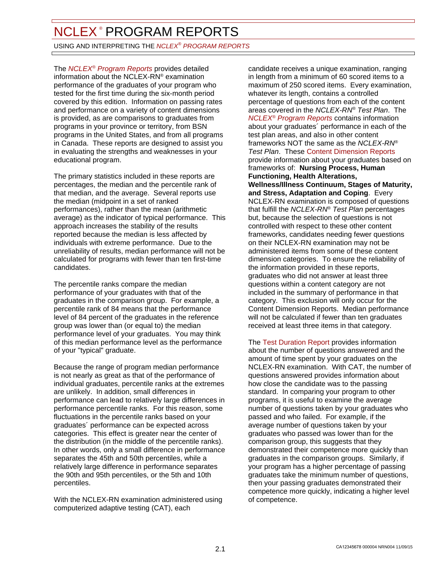<span id="page-3-0"></span>USING AND INTERPRETING THE *NCLEX® PROGRAM REPORTS* 

The *NCLEX<sup>®</sup> Program Reports* provides detailed information about the NCLEX-RN® examination performance of the graduates of your program who tested for the first time during the six-month period covered by this edition. Information on passing rates and performance on a variety of content dimensions is provided, as are comparisons to graduates from programs in your province or territory, from BSN programs in the United States, and from all programs in Canada. These reports are designed to assist you in evaluating the strengths and weaknesses in your educational program.

The primary statistics included in these reports are percentages, the median and the percentile rank of that median, and the average. Several reports use the median (midpoint in a set of ranked performances), rather than the mean (arithmetic average) as the indicator of typical performance. This approach increases the stability of the results reported because the median is less affected by individuals with extreme performance. Due to the unreliability of results, median performance will not be calculated for programs with fewer than ten first-time candidates.

The percentile ranks compare the median performance of your graduates with that of the graduates in the comparison group. For example, a percentile rank of 84 means that the performance level of 84 percent of the graduates in the reference group was lower than (or equal to) the median performance level of your graduates. You may think of this median performance level as the performance of your "typical" graduate.

Because the range of program median performance is not nearly as great as that of the performance of individual graduates, percentile ranks at the extremes are unlikely. In addition, small differences in performance can lead to relatively large differences in performance percentile ranks. For this reason, some fluctuations in the percentile ranks based on your graduates´ performance can be expected across categories. This effect is greater near the center of the distribution (in the middle of the percentile ranks). In other words, only a small difference in performance separates the 45th and 50th percentiles, while a relatively large difference in performance separates the 90th and 95th percentiles, or the 5th and 10th percentiles.

With the NCLEX-RN examination administered using computerized adaptive testing (CAT), each

candidate receives a unique examination, ranging in length from a minimum of 60 scored items to a maximum of 250 scored items. Every examination, whatever its length, contains a controlled percentage of questions from each of the content areas covered in the NCLEX-RN® Test Plan. The **NCLEX<sup>®</sup>** Program Reports contains information about your graduates´ performance in each of the test plan areas, and also in other content frameworks NOT the same as the NCLEX-RN® Test Plan. These Content Dimension Reports provide information about your graduates based on frameworks of: **Nursing Process, Human Functioning, Health Alterations, Wellness/Illness Continuum, Stages of Maturity, and Stress, Adaptation and Coping**. Every NCLEX-RN examination is composed of questions that fulfill the NCLEX-RN® Test Plan percentages but, because the selection of questions is not controlled with respect to these other content frameworks, candidates needing fewer questions on their NCLEX-RN examination may not be administered items from some of these content dimension categories. To ensure the reliability of the information provided in these reports, graduates who did not answer at least three questions within a content category are not included in the summary of performance in that category. This exclusion will only occur for the Content Dimension Reports. Median performance will not be calculated if fewer than ten graduates received at least three items in that category.

The Test Duration Report provides information about the number of questions answered and the amount of time spent by your graduates on the NCLEX-RN examination. With CAT, the number of questions answered provides information about how close the candidate was to the passing standard. In comparing your program to other programs, it is useful to examine the average number of questions taken by your graduates who passed and who failed. For example, if the average number of questions taken by your graduates who passed was lower than for the comparison group, this suggests that they demonstrated their competence more quickly than graduates in the comparison groups. Similarly, if your program has a higher percentage of passing graduates take the minimum number of questions, then your passing graduates demonstrated their competence more quickly, indicating a higher level of competence.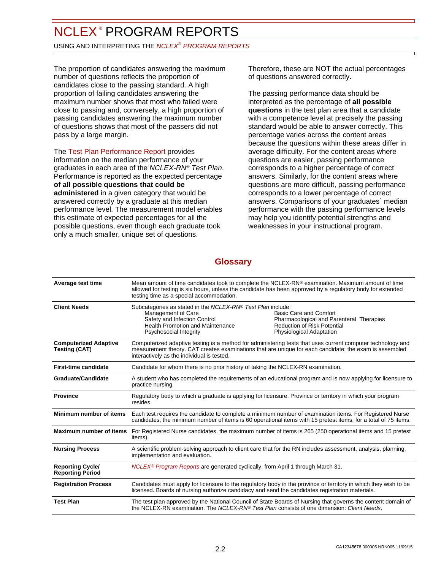USING AND INTERPRETING THE *NCLEX® PROGRAM REPORTS* 

The proportion of candidates answering the maximum number of questions reflects the proportion of candidates close to the passing standard. A high proportion of failing candidates answering the maximum number shows that most who failed were close to passing and, conversely, a high proportion of passing candidates answering the maximum number of questions shows that most of the passers did not pass by a large margin.

The Test Plan Performance Report provides information on the median performance of your graduates in each area of the NCLEX-RN® Test Plan. Performance is reported as the expected percentage **of all possible questions that could be administered** in a given category that would be answered correctly by a graduate at this median performance level. The measurement model enables this estimate of expected percentages for all the possible questions, even though each graduate took only a much smaller, unique set of questions.

Therefore, these are NOT the actual percentages of questions answered correctly.

The passing performance data should be interpreted as the percentage of **all possible questions** in the test plan area that a candidate with a competence level at precisely the passing standard would be able to answer correctly. This percentage varies across the content areas because the questions within these areas differ in average difficulty. For the content areas where questions are easier, passing performance corresponds to a higher percentage of correct answers. Similarly, for the content areas where questions are more difficult, passing performance corresponds to a lower percentage of correct answers. Comparisons of your graduates´ median performance with the passing performance levels may help you identify potential strengths and weaknesses in your instructional program.

# **Glossary**

| Average test time                                    | Mean amount of time candidates took to complete the NCLEX-RN® examination. Maximum amount of time<br>allowed for testing is six hours, unless the candidate has been approved by a regulatory body for extended<br>testing time as a special accommodation.         |                                                                                                                                             |  |
|------------------------------------------------------|---------------------------------------------------------------------------------------------------------------------------------------------------------------------------------------------------------------------------------------------------------------------|---------------------------------------------------------------------------------------------------------------------------------------------|--|
| <b>Client Needs</b>                                  | Subcategories as stated in the NCLEX-RN® Test Plan include:<br>Management of Care<br>Safety and Infection Control<br><b>Health Promotion and Maintenance</b><br>Psychosocial Integrity                                                                              | Basic Care and Comfort<br>Pharmacological and Parenteral Therapies<br><b>Reduction of Risk Potential</b><br><b>Physiological Adaptation</b> |  |
| <b>Computerized Adaptive</b><br><b>Testing (CAT)</b> | Computerized adaptive testing is a method for administering tests that uses current computer technology and<br>measurement theory. CAT creates examinations that are unique for each candidate; the exam is assembled<br>interactively as the individual is tested. |                                                                                                                                             |  |
| <b>First-time candidate</b>                          | Candidate for whom there is no prior history of taking the NCLEX-RN examination.                                                                                                                                                                                    |                                                                                                                                             |  |
| <b>Graduate/Candidate</b>                            | A student who has completed the requirements of an educational program and is now applying for licensure to<br>practice nursing.                                                                                                                                    |                                                                                                                                             |  |
| <b>Province</b>                                      | Regulatory body to which a graduate is applying for licensure. Province or territory in which your program<br>resides.                                                                                                                                              |                                                                                                                                             |  |
| Minimum number of items                              | Each test requires the candidate to complete a minimum number of examination items. For Registered Nurse<br>candidates, the minimum number of items is 60 operational items with 15 pretest items, for a total of 75 items.                                         |                                                                                                                                             |  |
| <b>Maximum number of items</b>                       | For Registered Nurse candidates, the maximum number of items is 265 (250 operational items and 15 pretest<br>items).                                                                                                                                                |                                                                                                                                             |  |
| <b>Nursing Process</b>                               | A scientific problem-solving approach to client care that for the RN includes assessment, analysis, planning,<br>implementation and evaluation.                                                                                                                     |                                                                                                                                             |  |
| <b>Reporting Cycle/</b><br><b>Reporting Period</b>   | NCLEX <sup>®</sup> Program Reports are generated cyclically, from April 1 through March 31.                                                                                                                                                                         |                                                                                                                                             |  |
| <b>Registration Process</b>                          | Candidates must apply for licensure to the regulatory body in the province or territory in which they wish to be<br>licensed. Boards of nursing authorize candidacy and send the candidates registration materials.                                                 |                                                                                                                                             |  |
| <b>Test Plan</b>                                     | The test plan approved by the National Council of State Boards of Nursing that governs the content domain of<br>the NCLEX-RN examination. The NCLEX-RN® Test Plan consists of one dimension: Client Needs.                                                          |                                                                                                                                             |  |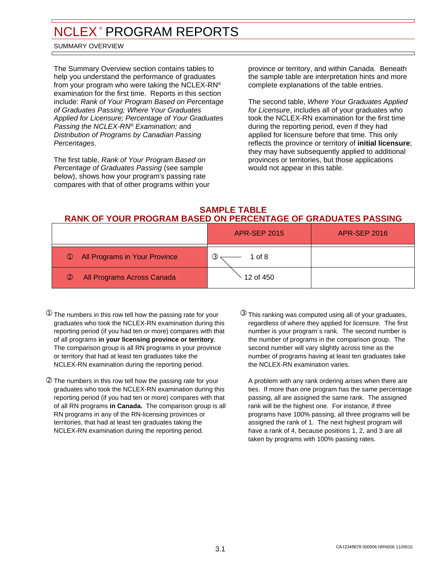#### <span id="page-5-0"></span>SUMMARY OVERVIEW

The Summary Overview section contains tables to help you understand the performance of graduates from your program who were taking the NCLEX-RN® examination for the first time. Reports in this section include: Rank of Your Program Based on Percentage of Graduates Passing; Where Your Graduates Applied for Licensure; Percentage of Your Graduates Passing the NCLEX-RN® Examination; and Distribution of Programs by Canadian Passing Percentages.

The first table, Rank of Your Program Based on Percentage of Graduates Passing (see sample below), shows how your program's passing rate compares with that of other programs within your province or territory, and within Canada. Beneath the sample table are interpretation hints and more complete explanations of the table entries.

The second table, Where Your Graduates Applied for Licensure, includes all of your graduates who took the NCLEX-RN examination for the first time during the reporting period, even if they had applied for licensure before that time. This only reflects the province or territory of **initial licensure**; they may have subsequently applied to additional provinces or territories, but those applications would not appear in this table.

#### **SAMPLE TABLE RANK OF YOUR PROGRAM BASED ON PERCENTAGE OF GRADUATES PASSING**

|                                                | <b>APR-SEP 2015</b>     | <b>APR-SEP 2016</b> |
|------------------------------------------------|-------------------------|---------------------|
| All Programs in Your Province<br>$\circled{1}$ | 1 of 8<br>$\circled{3}$ |                     |
| All Programs Across Canada<br>$\circledcirc$   | 12 of 450               |                     |

- $^{\textcircled{\tiny{\textup{1}}}}$  The numbers in this row tell how the passing rate for your  $^{\textcircled{\tiny{\textup{3}}}}$ graduates who took the NCLEX-RN examination during this reporting period (if you had ten or more) compares with that of all programs **in your licensing province or territory**. The comparison group is all RN programs in your province or territory that had at least ten graduates take the NCLEX-RN examination during the reporting period.
- ➁ The numbers in this row tell how the passing rate for your graduates who took the NCLEX-RN examination during this reporting period (if you had ten or more) compares with that of all RN programs **in Canada.** The comparison group is all RN programs in any of the RN-licensing provinces or territories, that had at least ten graduates taking the NCLEX-RN examination during the reporting period.
- $\circledR$  This ranking was computed using all of your graduates, regardless of where they applied for licensure. The first number is your program´s rank. The second number is the number of programs in the comparison group. The second number will vary slightly across time as the number of programs having at least ten graduates take the NCLEX-RN examination varies.

A problem with any rank ordering arises when there are ties. If more than one program has the same percentage passing, all are assigned the same rank. The assigned rank will be the highest one. For instance, if three programs have 100% passing, all three programs will be assigned the rank of 1. The next highest program will have a rank of 4, because positions 1, 2, and 3 are all taken by programs with 100% passing rates.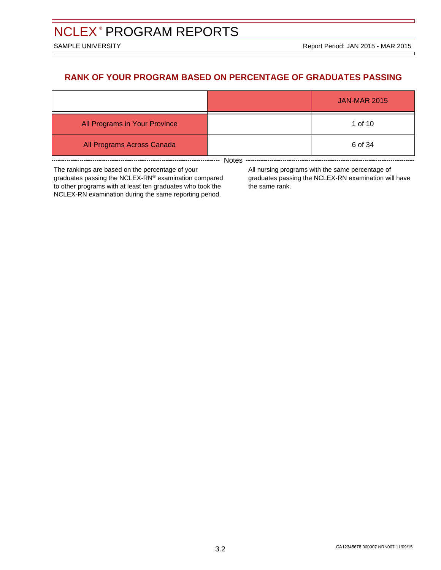Е

# **RANK OF YOUR PROGRAM BASED ON PERCENTAGE OF GRADUATES PASSING**

|                               |  | <b>JAN-MAR 2015</b> |  |  |
|-------------------------------|--|---------------------|--|--|
| All Programs in Your Province |  | 1 of 10             |  |  |
| All Programs Across Canada    |  | 6 of 34             |  |  |
| Notes                         |  |                     |  |  |

The rankings are based on the percentage of your graduates passing the NCLEX-RN® examination compared to other programs with at least ten graduates who took the NCLEX-RN examination during the same reporting period.

All nursing programs with the same percentage of graduates passing the NCLEX-RN examination will have the same rank.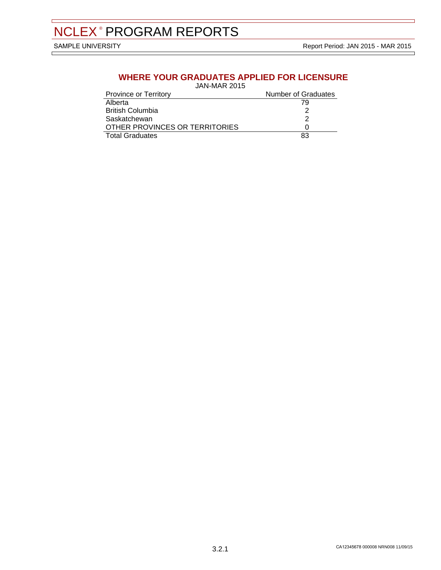$\Box$ 

# **WHERE YOUR GRADUATES APPLIED FOR LICENSURE**

JAN-MAR 2015

| <b>Province or Territory</b>   | <b>Number of Graduates</b> |
|--------------------------------|----------------------------|
| Alberta                        | 79                         |
| <b>British Columbia</b>        |                            |
| Saskatchewan                   |                            |
| OTHER PROVINCES OR TERRITORIES |                            |
| <b>Total Graduates</b>         | 83                         |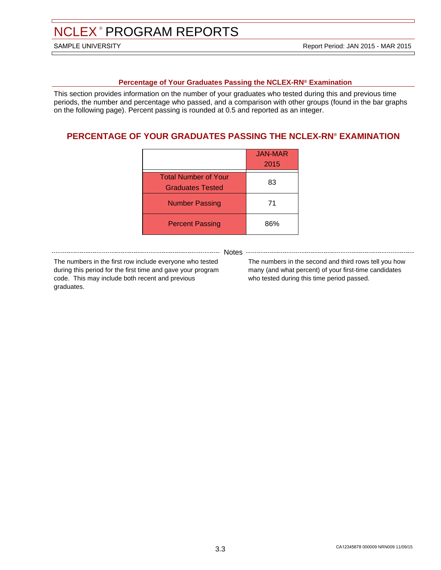#### **Percentage of Your Graduates Passing the NCLEX-RN® Examination**

This section provides information on the number of your graduates who tested during this and previous time periods, the number and percentage who passed, and a comparison with other groups (found in the bar graphs on the following page). Percent passing is rounded at 0.5 and reported as an integer.

# **PERCENTAGE OF YOUR GRADUATES PASSING THE NCLEX-RN® EXAMINATION**

|                                                        | <b>JAN-MAR</b><br>2015 |
|--------------------------------------------------------|------------------------|
| <b>Total Number of Your</b><br><b>Graduates Tested</b> | 83                     |
| <b>Number Passing</b>                                  | 71                     |
| <b>Percent Passing</b>                                 | 86%                    |

------- Notes -

The numbers in the first row include everyone who tested during this period for the first time and gave your program code. This may include both recent and previous graduates.

The numbers in the second and third rows tell you how many (and what percent) of your first-time candidates who tested during this time period passed.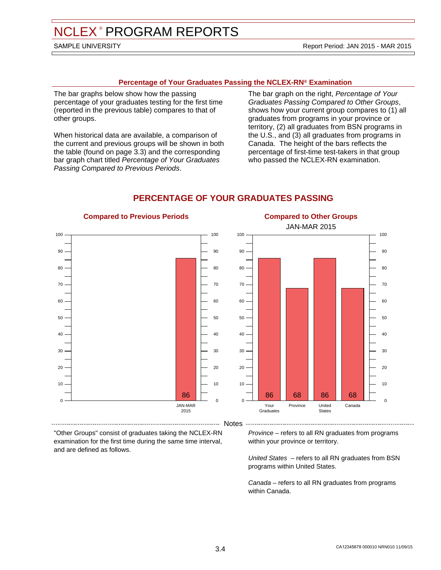#### **Percentage of Your Graduates Passing the NCLEX-RN® Examination**

The bar graphs below show how the passing percentage of your graduates testing for the first time (reported in the previous table) compares to that of other groups.

When historical data are available, a comparison of the current and previous groups will be shown in both the table (found on page 3.3) and the corresponding bar graph chart titled Percentage of Your Graduates Passing Compared to Previous Periods.

**Compared to Previous Periods**

The bar graph on the right, Percentage of Your Graduates Passing Compared to Other Groups, shows how your current group compares to (1) all graduates from programs in your province or territory, (2) all graduates from BSN programs in the U.S., and (3) all graduates from programs in Canada. The height of the bars reflects the percentage of first-time test-takers in that group who passed the NCLEX-RN examination.

**Compared to Other Groups**



### **PERCENTAGE OF YOUR GRADUATES PASSING**

"Other Groups" consist of graduates taking the NCLEX-RN examination for the first time during the same time interval, and are defined as follows.

Province – refers to all RN graduates from programs within your province or territory.

United States – refers to all RN graduates from BSN programs within United States.

Canada – refers to all RN graduates from programs within Canada.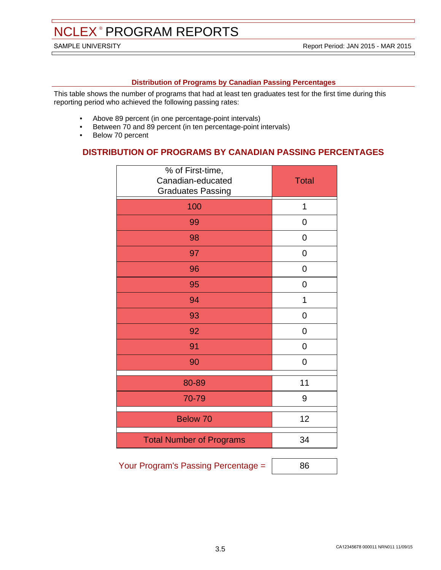#### **Distribution of Programs by Canadian Passing Percentages**

This table shows the number of programs that had at least ten graduates test for the first time during this reporting period who achieved the following passing rates:

- Above 89 percent (in one percentage-point intervals)
- Between 70 and 89 percent (in ten percentage-point intervals)
- Below 70 percent

### **DISTRIBUTION OF PROGRAMS BY CANADIAN PASSING PERCENTAGES**

| % of First-time,<br>Canadian-educated<br><b>Graduates Passing</b> | <b>Total</b>   |
|-------------------------------------------------------------------|----------------|
| 100                                                               | 1              |
| 99                                                                | 0              |
| 98                                                                | 0              |
| 97                                                                | 0              |
| 96                                                                | 0              |
| 95                                                                | $\overline{0}$ |
| 94                                                                | 1              |
| 93                                                                | 0              |
| 92                                                                | $\overline{0}$ |
| 91                                                                | 0              |
| 90                                                                | $\overline{0}$ |
| 80-89                                                             | 11             |
| 70-79                                                             | 9              |
| <b>Below 70</b>                                                   | 12             |
| <b>Total Number of Programs</b>                                   | 34             |

Your Program's Passing Percentage =  $\vert$  86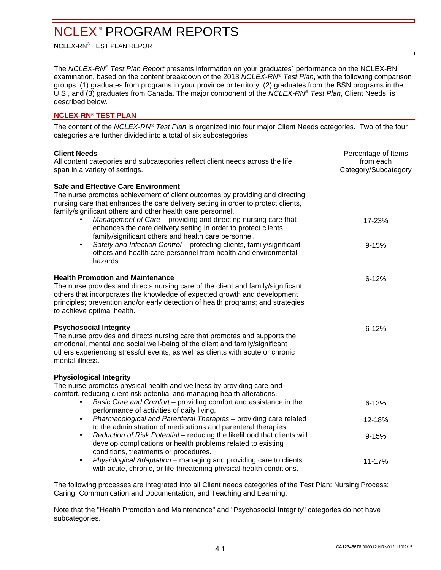<span id="page-11-0"></span>NCLEX-RN® TEST PLAN REPORT

The NCLEX-RN® Test Plan Report presents information on your graduates´ performance on the NCLEX-RN examination, based on the content breakdown of the 2013 NCLEX-RN® Test Plan, with the following comparison groups: (1) graduates from programs in your province or territory, (2) graduates from the BSN programs in the U.S., and (3) graduates from Canada. The major component of the NCLEX-RN® Test Plan, Client Needs, is described below.

#### **NCLEX-RN® TEST PLAN**

The content of the NCLEX-RN® Test Plan is organized into four major Client Needs categories. Two of the four categories are further divided into a total of six subcategories:

| <b>Client Needs</b><br>All content categories and subcategories reflect client needs across the life<br>span in a variety of settings.                                                                                                                                                                                                                                                                                                                                                                                                                                                                                                         | Percentage of Items<br>from each<br>Category/Subcategory |
|------------------------------------------------------------------------------------------------------------------------------------------------------------------------------------------------------------------------------------------------------------------------------------------------------------------------------------------------------------------------------------------------------------------------------------------------------------------------------------------------------------------------------------------------------------------------------------------------------------------------------------------------|----------------------------------------------------------|
| <b>Safe and Effective Care Environment</b><br>The nurse promotes achievement of client outcomes by providing and directing<br>nursing care that enhances the care delivery setting in order to protect clients,<br>family/significant others and other health care personnel.<br>Management of Care – providing and directing nursing care that<br>enhances the care delivery setting in order to protect clients,<br>family/significant others and health care personnel.<br>Safety and Infection Control - protecting clients, family/significant<br>$\bullet$<br>others and health care personnel from health and environmental<br>hazards. | 17-23%<br>$9 - 15%$                                      |
| <b>Health Promotion and Maintenance</b><br>The nurse provides and directs nursing care of the client and family/significant<br>others that incorporates the knowledge of expected growth and development<br>principles; prevention and/or early detection of health programs; and strategies<br>to achieve optimal health.                                                                                                                                                                                                                                                                                                                     | $6 - 12%$                                                |
| <b>Psychosocial Integrity</b><br>The nurse provides and directs nursing care that promotes and supports the<br>emotional, mental and social well-being of the client and family/significant<br>others experiencing stressful events, as well as clients with acute or chronic<br>mental illness.                                                                                                                                                                                                                                                                                                                                               | $6 - 12%$                                                |
| <b>Physiological Integrity</b><br>The nurse promotes physical health and wellness by providing care and<br>comfort, reducing client risk potential and managing health alterations.                                                                                                                                                                                                                                                                                                                                                                                                                                                            |                                                          |
| Basic Care and Comfort - providing comfort and assistance in the<br>$\bullet$<br>performance of activities of daily living.                                                                                                                                                                                                                                                                                                                                                                                                                                                                                                                    | $6 - 12%$                                                |
| Pharmacological and Parenteral Therapies - providing care related<br>$\bullet$                                                                                                                                                                                                                                                                                                                                                                                                                                                                                                                                                                 | 12-18%                                                   |
| to the administration of medications and parenteral therapies.<br>Reduction of Risk Potential – reducing the likelihood that clients will<br>$\bullet$<br>develop complications or health problems related to existing<br>conditions, treatments or procedures.                                                                                                                                                                                                                                                                                                                                                                                | $9 - 15%$                                                |
| Physiological Adaptation - managing and providing care to clients<br>$\bullet$<br>with acute, chronic, or life-threatening physical health conditions.                                                                                                                                                                                                                                                                                                                                                                                                                                                                                         | 11-17%                                                   |

The following processes are integrated into all Client needs categories of the Test Plan: Nursing Process; Caring; Communication and Documentation; and Teaching and Learning.

Note that the "Health Promotion and Maintenance" and "Psychosocial Integrity" categories do not have subcategories.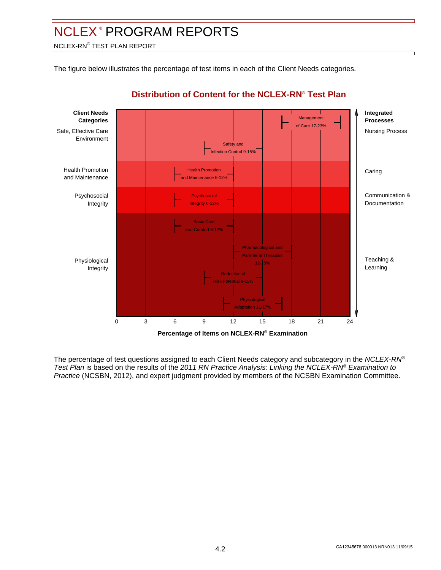NCLEX-RN® TEST PLAN REPORT

The figure below illustrates the percentage of test items in each of the Client Needs categories.



# **Distribution of Content for the NCLEX-RN® Test Plan**

The percentage of test questions assigned to each Client Needs category and subcategory in the NCLEX-RN® Test Plan is based on the results of the 2011 RN Practice Analysis: Linking the NCLEX-RN® Examination to Practice (NCSBN, 2012), and expert judgment provided by members of the NCSBN Examination Committee.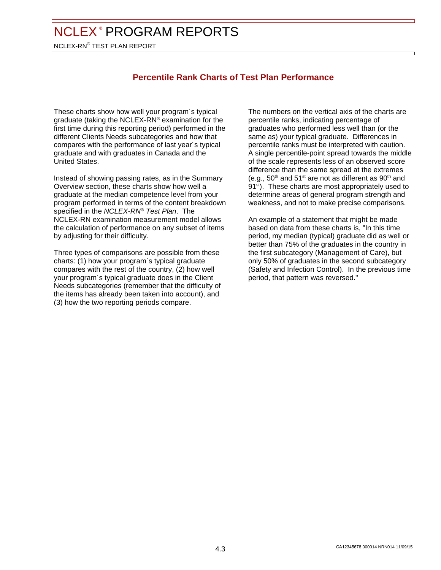NCLEX-RN® TEST PLAN REPORT

# **Percentile Rank Charts of Test Plan Performance**

These charts show how well your program´s typical graduate (taking the NCLEX-RN® examination for the first time during this reporting period) performed in the different Clients Needs subcategories and how that compares with the performance of last year´s typical graduate and with graduates in Canada and the United States.

Instead of showing passing rates, as in the Summary Overview section, these charts show how well a graduate at the median competence level from your program performed in terms of the content breakdown specified in the NCLEX-RN® Test Plan. The NCLEX-RN examination measurement model allows the calculation of performance on any subset of items by adjusting for their difficulty.

Three types of comparisons are possible from these charts: (1) how your program´s typical graduate compares with the rest of the country, (2) how well your program´s typical graduate does in the Client Needs subcategories (remember that the difficulty of the items has already been taken into account), and (3) how the two reporting periods compare.

The numbers on the vertical axis of the charts are percentile ranks, indicating percentage of graduates who performed less well than (or the same as) your typical graduate. Differences in percentile ranks must be interpreted with caution. A single percentile-point spread towards the middle of the scale represents less of an observed score difference than the same spread at the extremes (e.g.,  $50<sup>th</sup>$  and  $51<sup>st</sup>$  are not as different as  $90<sup>th</sup>$  and 91<sup>st</sup>). These charts are most appropriately used to determine areas of general program strength and weakness, and not to make precise comparisons.

An example of a statement that might be made based on data from these charts is, "In this time period, my median (typical) graduate did as well or better than 75% of the graduates in the country in the first subcategory (Management of Care), but only 50% of graduates in the second subcategory (Safety and Infection Control). In the previous time period, that pattern was reversed."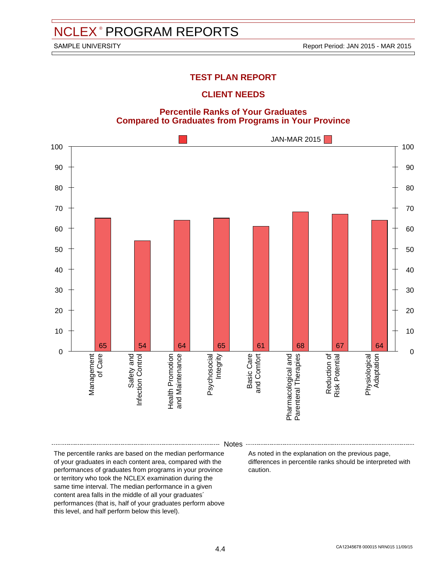### **TEST PLAN REPORT**

### **CLIENT NEEDS**

#### **Percentile Ranks of Your Graduates Compared to Graduates from Programs in Your Province**



Notes

The percentile ranks are based on the median performance of your graduates in each content area, compared with the performances of graduates from programs in your province or territory who took the NCLEX examination during the same time interval. The median performance in a given content area falls in the middle of all your graduates´ performances (that is, half of your graduates perform above this level, and half perform below this level).

As noted in the explanation on the previous page, differences in percentile ranks should be interpreted with caution.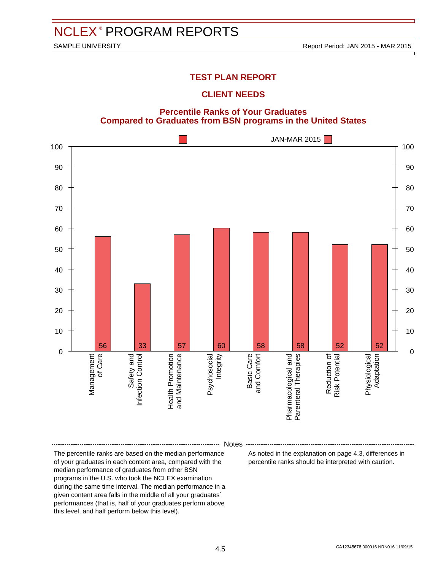### **TEST PLAN REPORT**

### **CLIENT NEEDS**





Notes

The percentile ranks are based on the median performance of your graduates in each content area, compared with the median performance of graduates from other BSN programs in the U.S. who took the NCLEX examination during the same time interval. The median performance in a given content area falls in the middle of all your graduates´ performances (that is, half of your graduates perform above this level, and half perform below this level).

As noted in the explanation on page 4.3, differences in percentile ranks should be interpreted with caution.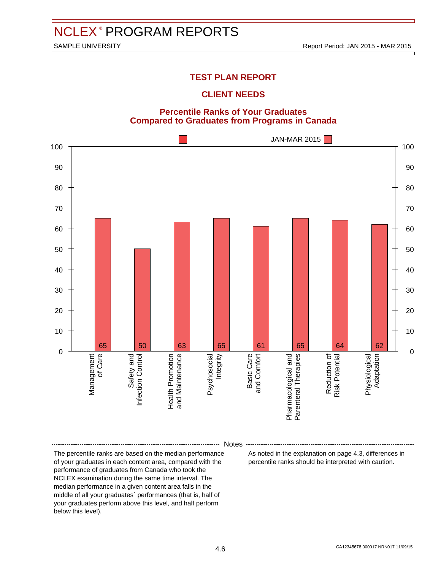# **TEST PLAN REPORT**

### **CLIENT NEEDS**

#### **Percentile Ranks of Your Graduates Compared to Graduates from Programs in Canada**



Notes

The percentile ranks are based on the median performance of your graduates in each content area, compared with the performance of graduates from Canada who took the NCLEX examination during the same time interval. The median performance in a given content area falls in the middle of all your graduates´ performances (that is, half of your graduates perform above this level, and half perform below this level).

As noted in the explanation on page 4.3, differences in percentile ranks should be interpreted with caution.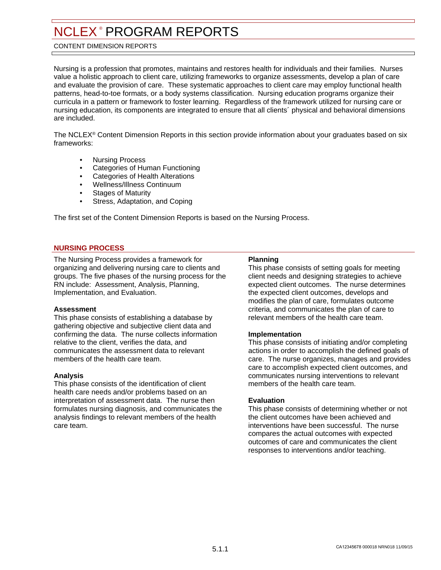#### <span id="page-17-0"></span>CONTENT DIMENSION REPORTS

Nursing is a profession that promotes, maintains and restores health for individuals and their families. Nurses value a holistic approach to client care, utilizing frameworks to organize assessments, develop a plan of care and evaluate the provision of care. These systematic approaches to client care may employ functional health patterns, head-to-toe formats, or a body systems classification. Nursing education programs organize their curricula in a pattern or framework to foster learning. Regardless of the framework utilized for nursing care or nursing education, its components are integrated to ensure that all clients´ physical and behavioral dimensions are included.

The NCLEX® Content Dimension Reports in this section provide information about your graduates based on six frameworks:

- Nursing Process
- Categories of Human Functioning
- Categories of Health Alterations
- Wellness/Illness Continuum
- **Stages of Maturity**
- Stress, Adaptation, and Coping

The first set of the Content Dimension Reports is based on the Nursing Process.

#### **NURSING PROCESS**

The Nursing Process provides a framework for organizing and delivering nursing care to clients and groups. The five phases of the nursing process for the RN include: Assessment, Analysis, Planning, Implementation, and Evaluation.

#### **Assessment**

This phase consists of establishing a database by gathering objective and subjective client data and confirming the data. The nurse collects information relative to the client, verifies the data, and communicates the assessment data to relevant members of the health care team.

#### **Analysis**

This phase consists of the identification of client health care needs and/or problems based on an interpretation of assessment data. The nurse then formulates nursing diagnosis, and communicates the analysis findings to relevant members of the health care team.

#### **Planning**

This phase consists of setting goals for meeting client needs and designing strategies to achieve expected client outcomes. The nurse determines the expected client outcomes, develops and modifies the plan of care, formulates outcome criteria, and communicates the plan of care to relevant members of the health care team.

#### **Implementation**

This phase consists of initiating and/or completing actions in order to accomplish the defined goals of care. The nurse organizes, manages and provides care to accomplish expected client outcomes, and communicates nursing interventions to relevant members of the health care team.

#### **Evaluation**

This phase consists of determining whether or not the client outcomes have been achieved and interventions have been successful. The nurse compares the actual outcomes with expected outcomes of care and communicates the client responses to interventions and/or teaching.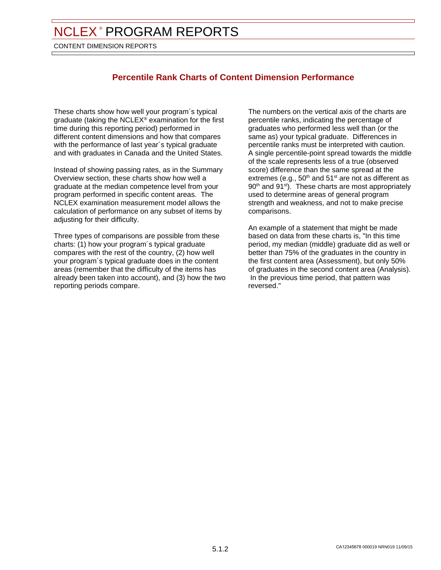CONTENT DIMENSION REPORTS

# **Percentile Rank Charts of Content Dimension Performance**

These charts show how well your program´s typical graduate (taking the NCLEX® examination for the first time during this reporting period) performed in different content dimensions and how that compares with the performance of last year´s typical graduate and with graduates in Canada and the United States.

Instead of showing passing rates, as in the Summary Overview section, these charts show how well a graduate at the median competence level from your program performed in specific content areas. The NCLEX examination measurement model allows the calculation of performance on any subset of items by adjusting for their difficulty.

Three types of comparisons are possible from these charts: (1) how your program´s typical graduate compares with the rest of the country, (2) how well your program´s typical graduate does in the content areas (remember that the difficulty of the items has already been taken into account), and (3) how the two reporting periods compare.

The numbers on the vertical axis of the charts are percentile ranks, indicating the percentage of graduates who performed less well than (or the same as) your typical graduate. Differences in percentile ranks must be interpreted with caution. A single percentile-point spread towards the middle of the scale represents less of a true (observed score) difference than the same spread at the extremes (e.g.,  $50<sup>th</sup>$  and  $51<sup>st</sup>$  are not as different as 90<sup>th</sup> and 91<sup>st</sup>). These charts are most appropriately used to determine areas of general program strength and weakness, and not to make precise comparisons.

An example of a statement that might be made based on data from these charts is, "In this time period, my median (middle) graduate did as well or better than 75% of the graduates in the country in the first content area (Assessment), but only 50% of graduates in the second content area (Analysis). In the previous time period, that pattern was reversed."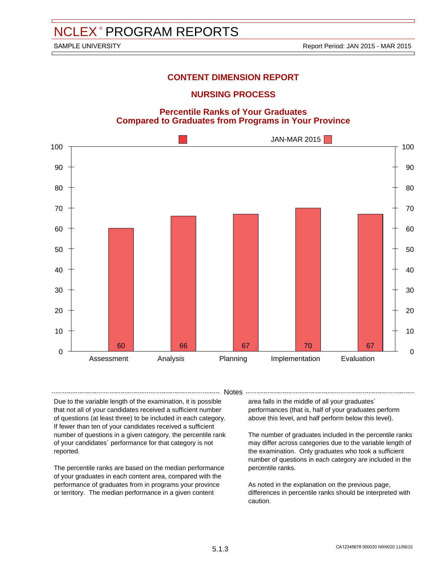### **NURSING PROCESS**

#### **Percentile Ranks of Your Graduates Compared to Graduates from Programs in Your Province**



- Notes -

Due to the variable length of the examination, it is possible that not all of your candidates received a sufficient number of questions (at least three) to be included in each category. If fewer than ten of your candidates received a sufficient number of questions in a given category, the percentile rank of your candidates´ performance for that category is not reported.

The percentile ranks are based on the median performance of your graduates in each content area, compared with the performance of graduates from in programs your province or territory. The median performance in a given content

area falls in the middle of all your graduates´ performances (that is, half of your graduates perform above this level, and half perform below this level).

The number of graduates included in the percentile ranks may differ across categories due to the variable length of the examination. Only graduates who took a sufficient number of questions in each category are included in the percentile ranks.

As noted in the explanation on the previous page, differences in percentile ranks should be interpreted with caution.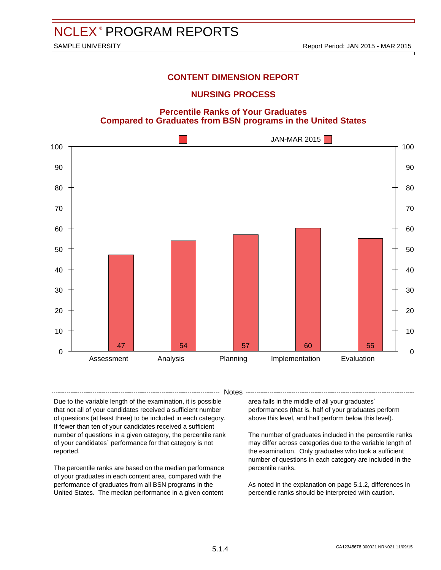### **NURSING PROCESS**





- Notes -

Due to the variable length of the examination, it is possible that not all of your candidates received a sufficient number of questions (at least three) to be included in each category. If fewer than ten of your candidates received a sufficient number of questions in a given category, the percentile rank of your candidates´ performance for that category is not reported.

The percentile ranks are based on the median performance of your graduates in each content area, compared with the performance of graduates from all BSN programs in the United States. The median performance in a given content

area falls in the middle of all your graduates´ performances (that is, half of your graduates perform above this level, and half perform below this level).

The number of graduates included in the percentile ranks may differ across categories due to the variable length of the examination. Only graduates who took a sufficient number of questions in each category are included in the percentile ranks.

As noted in the explanation on page 5.1.2, differences in percentile ranks should be interpreted with caution.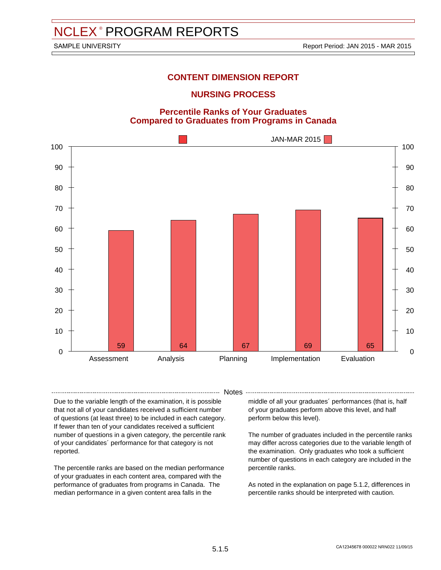### **NURSING PROCESS**

#### **Percentile Ranks of Your Graduates Compared to Graduates from Programs in Canada**



- Notes -

Due to the variable length of the examination, it is possible that not all of your candidates received a sufficient number of questions (at least three) to be included in each category. If fewer than ten of your candidates received a sufficient number of questions in a given category, the percentile rank of your candidates´ performance for that category is not reported.

The percentile ranks are based on the median performance of your graduates in each content area, compared with the performance of graduates from programs in Canada. The median performance in a given content area falls in the

middle of all your graduates´ performances (that is, half of your graduates perform above this level, and half perform below this level).

The number of graduates included in the percentile ranks may differ across categories due to the variable length of the examination. Only graduates who took a sufficient number of questions in each category are included in the percentile ranks.

As noted in the explanation on page 5.1.2, differences in percentile ranks should be interpreted with caution.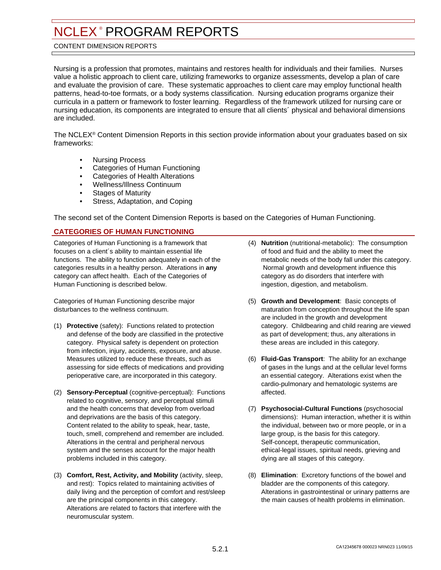#### <span id="page-22-0"></span>CONTENT DIMENSION REPORTS

Nursing is a profession that promotes, maintains and restores health for individuals and their families. Nurses value a holistic approach to client care, utilizing frameworks to organize assessments, develop a plan of care and evaluate the provision of care. These systematic approaches to client care may employ functional health patterns, head-to-toe formats, or a body systems classification. Nursing education programs organize their curricula in a pattern or framework to foster learning. Regardless of the framework utilized for nursing care or nursing education, its components are integrated to ensure that all clients´ physical and behavioral dimensions are included.

The NCLEX® Content Dimension Reports in this section provide information about your graduates based on six frameworks:

- Nursing Process
- Categories of Human Functioning
- Categories of Health Alterations
- Wellness/Illness Continuum
- Stages of Maturity
- Stress, Adaptation, and Coping

The second set of the Content Dimension Reports is based on the Categories of Human Functioning.

#### **CATEGORIES OF HUMAN FUNCTIONING**

Categories of Human Functioning is a framework that focuses on a client´s ability to maintain essential life functions. The ability to function adequately in each of the categories results in a healthy person. Alterations in **any** category can affect health. Each of the Categories of Human Functioning is described below.

Categories of Human Functioning describe major disturbances to the wellness continuum.

- (1) **Protective** (safety): Functions related to protection and defense of the body are classified in the protective category. Physical safety is dependent on protection from infection, injury, accidents, exposure, and abuse. Measures utilized to reduce these threats, such as assessing for side effects of medications and providing perioperative care, are incorporated in this category.
- (2) **Sensory-Perceptual** (cognitive-perceptual): Functions related to cognitive, sensory, and perceptual stimuli and the health concerns that develop from overload and deprivations are the basis of this category. Content related to the ability to speak, hear, taste, touch, smell, comprehend and remember are included. Alterations in the central and peripheral nervous system and the senses account for the major health problems included in this category.
- (3) **Comfort, Rest, Activity, and Mobility** (activity, sleep, and rest): Topics related to maintaining activities of daily living and the perception of comfort and rest/sleep are the principal components in this category. Alterations are related to factors that interfere with the neuromuscular system.
- (4) **Nutrition** (nutritional-metabolic): The consumption of food and fluid and the ability to meet the metabolic needs of the body fall under this category. Normal growth and development influence this category as do disorders that interfere with ingestion, digestion, and metabolism.
- (5) **Growth and Development**: Basic concepts of maturation from conception throughout the life span are included in the growth and development category. Childbearing and child rearing are viewed as part of development; thus, any alterations in these areas are included in this category.
- (6) **Fluid-Gas Transport**: The ability for an exchange of gases in the lungs and at the cellular level forms an essential category. Alterations exist when the cardio-pulmonary and hematologic systems are affected.
- (7) **Psychosocial-Cultural Functions** (psychosocial dimensions): Human interaction, whether it is within the individual, between two or more people, or in a large group, is the basis for this category. Self-concept, therapeutic communication, ethical-legal issues, spiritual needs, grieving and dying are all stages of this category.
- (8) **Elimination**: Excretory functions of the bowel and bladder are the components of this category. Alterations in gastrointestinal or urinary patterns are the main causes of health problems in elimination.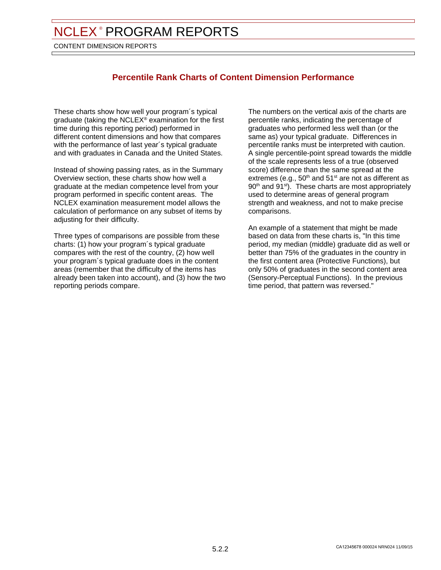CONTENT DIMENSION REPORTS

# **Percentile Rank Charts of Content Dimension Performance**

These charts show how well your program´s typical graduate (taking the NCLEX® examination for the first time during this reporting period) performed in different content dimensions and how that compares with the performance of last year´s typical graduate and with graduates in Canada and the United States.

Instead of showing passing rates, as in the Summary Overview section, these charts show how well a graduate at the median competence level from your program performed in specific content areas. The NCLEX examination measurement model allows the calculation of performance on any subset of items by adjusting for their difficulty.

Three types of comparisons are possible from these charts: (1) how your program´s typical graduate compares with the rest of the country, (2) how well your program´s typical graduate does in the content areas (remember that the difficulty of the items has already been taken into account), and (3) how the two reporting periods compare.

The numbers on the vertical axis of the charts are percentile ranks, indicating the percentage of graduates who performed less well than (or the same as) your typical graduate. Differences in percentile ranks must be interpreted with caution. A single percentile-point spread towards the middle of the scale represents less of a true (observed score) difference than the same spread at the extremes (e.g.,  $50<sup>th</sup>$  and  $51<sup>st</sup>$  are not as different as 90<sup>th</sup> and 91<sup>st</sup>). These charts are most appropriately used to determine areas of general program strength and weakness, and not to make precise comparisons.

An example of a statement that might be made based on data from these charts is, "In this time period, my median (middle) graduate did as well or better than 75% of the graduates in the country in the first content area (Protective Functions), but only 50% of graduates in the second content area (Sensory-Perceptual Functions). In the previous time period, that pattern was reversed."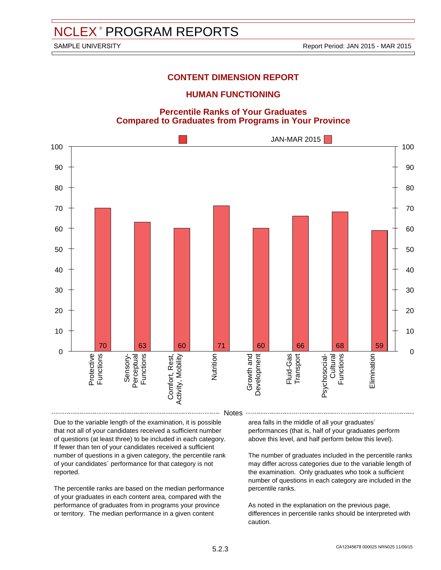#### **HUMAN FUNCTIONING**

#### **Percentile Ranks of Your Graduates Compared to Graduates from Programs in Your Province**



Due to the variable length of the examination, it is possible that not all of your candidates received a sufficient number of questions (at least three) to be included in each category. If fewer than ten of your candidates received a sufficient number of questions in a given category, the percentile rank of your candidates´ performance for that category is not reported.

The percentile ranks are based on the median performance of your graduates in each content area, compared with the performance of graduates from in programs your province or territory. The median performance in a given content

area falls in the middle of all your graduates´ performances (that is, half of your graduates perform above this level, and half perform below this level).

The number of graduates included in the percentile ranks may differ across categories due to the variable length of the examination. Only graduates who took a sufficient number of questions in each category are included in the percentile ranks.

As noted in the explanation on the previous page, differences in percentile ranks should be interpreted with caution.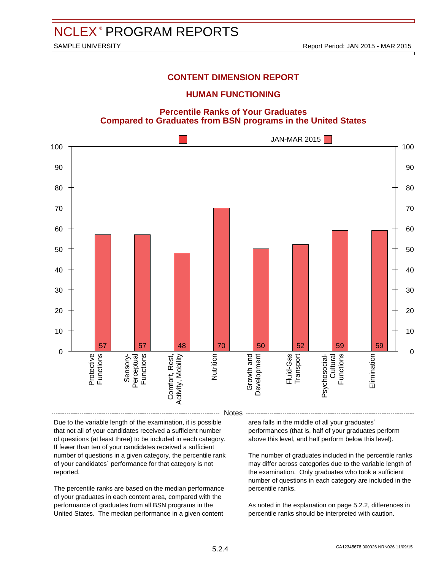#### **HUMAN FUNCTIONING**

**Percentile Ranks of Your Graduates Compared to Graduates from BSN programs in the United States**



Due to the variable length of the examination, it is possible that not all of your candidates received a sufficient number of questions (at least three) to be included in each category. If fewer than ten of your candidates received a sufficient number of questions in a given category, the percentile rank of your candidates´ performance for that category is not reported.

The percentile ranks are based on the median performance of your graduates in each content area, compared with the performance of graduates from all BSN programs in the United States. The median performance in a given content

area falls in the middle of all your graduates´ performances (that is, half of your graduates perform above this level, and half perform below this level).

The number of graduates included in the percentile ranks may differ across categories due to the variable length of the examination. Only graduates who took a sufficient number of questions in each category are included in the percentile ranks.

As noted in the explanation on page 5.2.2, differences in percentile ranks should be interpreted with caution.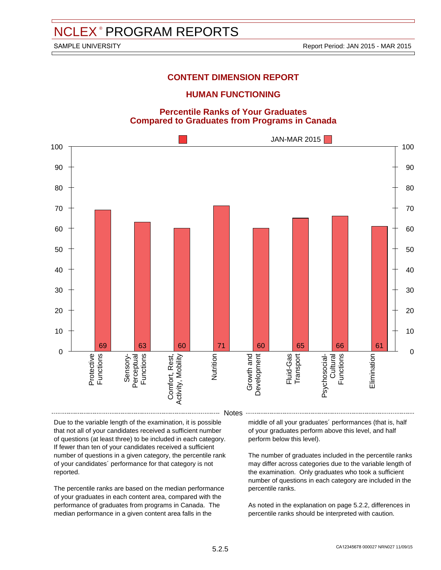#### **HUMAN FUNCTIONING**

#### **Percentile Ranks of Your Graduates Compared to Graduates from Programs in Canada**



Due to the variable length of the examination, it is possible that not all of your candidates received a sufficient number of questions (at least three) to be included in each category. If fewer than ten of your candidates received a sufficient number of questions in a given category, the percentile rank of your candidates´ performance for that category is not reported.

The percentile ranks are based on the median performance of your graduates in each content area, compared with the performance of graduates from programs in Canada. The median performance in a given content area falls in the

middle of all your graduates´ performances (that is, half of your graduates perform above this level, and half perform below this level).

The number of graduates included in the percentile ranks may differ across categories due to the variable length of the examination. Only graduates who took a sufficient number of questions in each category are included in the percentile ranks.

As noted in the explanation on page 5.2.2, differences in percentile ranks should be interpreted with caution.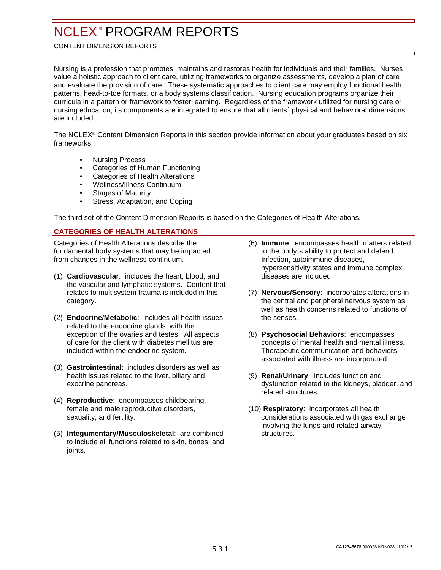#### <span id="page-27-0"></span>CONTENT DIMENSION REPORTS

Nursing is a profession that promotes, maintains and restores health for individuals and their families. Nurses value a holistic approach to client care, utilizing frameworks to organize assessments, develop a plan of care and evaluate the provision of care. These systematic approaches to client care may employ functional health patterns, head-to-toe formats, or a body systems classification. Nursing education programs organize their curricula in a pattern or framework to foster learning. Regardless of the framework utilized for nursing care or nursing education, its components are integrated to ensure that all clients´ physical and behavioral dimensions are included.

The NCLEX® Content Dimension Reports in this section provide information about your graduates based on six frameworks:

- Nursing Process
- Categories of Human Functioning
- Categories of Health Alterations
- Wellness/Illness Continuum
- **Stages of Maturity**
- Stress, Adaptation, and Coping

The third set of the Content Dimension Reports is based on the Categories of Health Alterations.

#### **CATEGORIES OF HEALTH ALTERATIONS**

Categories of Health Alterations describe the fundamental body systems that may be impacted from changes in the wellness continuum.

- (1) **Cardiovascular**: includes the heart, blood, and the vascular and lymphatic systems. Content that relates to multisystem trauma is included in this category.
- (2) **Endocrine/Metabolic**: includes all health issues related to the endocrine glands, with the exception of the ovaries and testes. All aspects of care for the client with diabetes mellitus are included within the endocrine system.
- (3) **Gastrointestinal**: includes disorders as well as health issues related to the liver, biliary and exocrine pancreas.
- (4) **Reproductive**: encompasses childbearing, female and male reproductive disorders, sexuality, and fertility.
- (5) **Integumentary/Musculoskeletal**: are combined to include all functions related to skin, bones, and joints.
- (6) **Immune**: encompasses health matters related to the body´s ability to protect and defend. Infection, autoimmune diseases, hypersensitivity states and immune complex diseases are included.
- (7) **Nervous/Sensory**: incorporates alterations in the central and peripheral nervous system as well as health concerns related to functions of the senses.
- (8) **Psychosocial Behaviors**: encompasses concepts of mental health and mental illness. Therapeutic communication and behaviors associated with illness are incorporated.
- (9) **Renal/Urinary**: includes function and dysfunction related to the kidneys, bladder, and related structures.
- (10) **Respiratory**: incorporates all health considerations associated with gas exchange involving the lungs and related airway structures.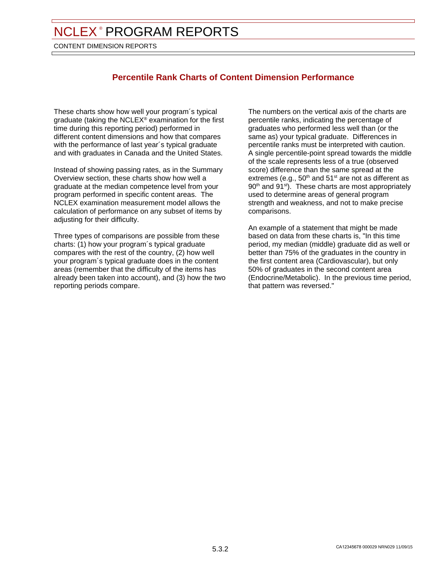CONTENT DIMENSION REPORTS

# **Percentile Rank Charts of Content Dimension Performance**

These charts show how well your program´s typical graduate (taking the NCLEX® examination for the first time during this reporting period) performed in different content dimensions and how that compares with the performance of last year´s typical graduate and with graduates in Canada and the United States.

Instead of showing passing rates, as in the Summary Overview section, these charts show how well a graduate at the median competence level from your program performed in specific content areas. The NCLEX examination measurement model allows the calculation of performance on any subset of items by adjusting for their difficulty.

Three types of comparisons are possible from these charts: (1) how your program´s typical graduate compares with the rest of the country, (2) how well your program´s typical graduate does in the content areas (remember that the difficulty of the items has already been taken into account), and (3) how the two reporting periods compare.

The numbers on the vertical axis of the charts are percentile ranks, indicating the percentage of graduates who performed less well than (or the same as) your typical graduate. Differences in percentile ranks must be interpreted with caution. A single percentile-point spread towards the middle of the scale represents less of a true (observed score) difference than the same spread at the extremes (e.g.,  $50<sup>th</sup>$  and  $51<sup>st</sup>$  are not as different as 90<sup>th</sup> and 91<sup>st</sup>). These charts are most appropriately used to determine areas of general program strength and weakness, and not to make precise comparisons.

An example of a statement that might be made based on data from these charts is, "In this time period, my median (middle) graduate did as well or better than 75% of the graduates in the country in the first content area (Cardiovascular), but only 50% of graduates in the second content area (Endocrine/Metabolic). In the previous time period, that pattern was reversed."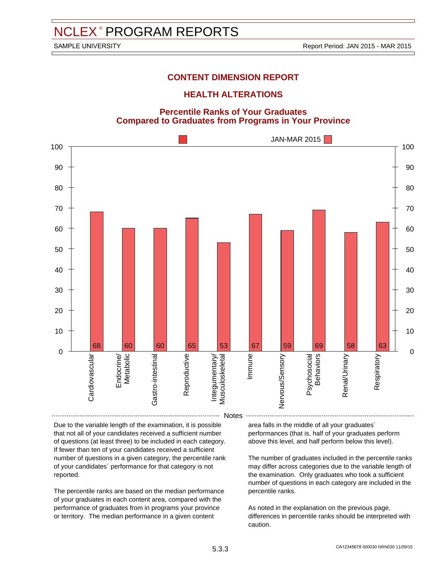#### **HEALTH ALTERATIONS**

#### **Percentile Ranks of Your Graduates Compared to Graduates from Programs in Your Province**



Notes

Due to the variable length of the examination, it is possible that not all of your candidates received a sufficient number of questions (at least three) to be included in each category. If fewer than ten of your candidates received a sufficient number of questions in a given category, the percentile rank of your candidates´ performance for that category is not reported.

The percentile ranks are based on the median performance of your graduates in each content area, compared with the performance of graduates from in programs your province or territory. The median performance in a given content

area falls in the middle of all your graduates´ performances (that is, half of your graduates perform above this level, and half perform below this level).

The number of graduates included in the percentile ranks may differ across categories due to the variable length of the examination. Only graduates who took a sufficient number of questions in each category are included in the percentile ranks.

As noted in the explanation on the previous page, differences in percentile ranks should be interpreted with caution.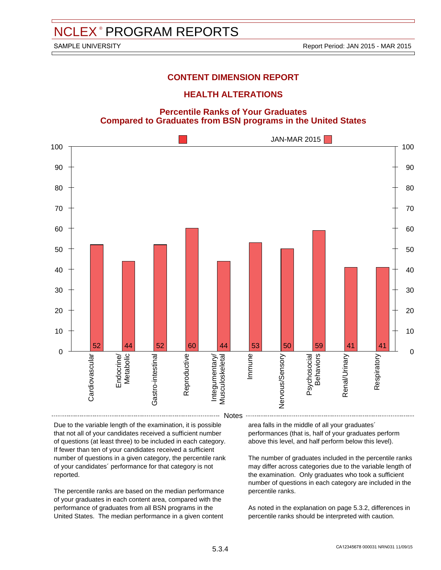#### **HEALTH ALTERATIONS**

**Percentile Ranks of Your Graduates Compared to Graduates from BSN programs in the United States**



Notes

Due to the variable length of the examination, it is possible that not all of your candidates received a sufficient number of questions (at least three) to be included in each category. If fewer than ten of your candidates received a sufficient number of questions in a given category, the percentile rank of your candidates´ performance for that category is not reported.

The percentile ranks are based on the median performance of your graduates in each content area, compared with the performance of graduates from all BSN programs in the United States. The median performance in a given content

area falls in the middle of all your graduates´ performances (that is, half of your graduates perform above this level, and half perform below this level).

The number of graduates included in the percentile ranks may differ across categories due to the variable length of the examination. Only graduates who took a sufficient number of questions in each category are included in the percentile ranks.

As noted in the explanation on page 5.3.2, differences in percentile ranks should be interpreted with caution.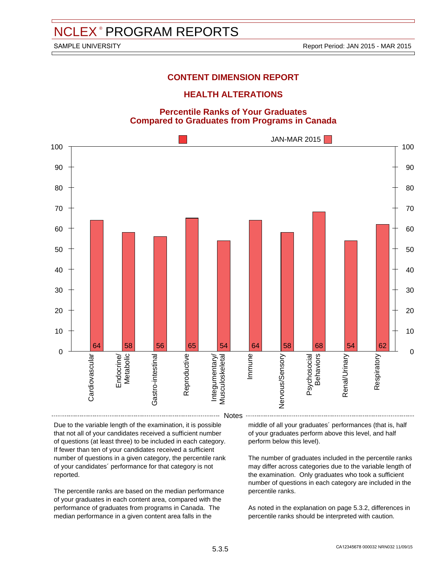#### **HEALTH ALTERATIONS**

#### **Percentile Ranks of Your Graduates Compared to Graduates from Programs in Canada**

![](_page_31_Figure_6.jpeg)

Due to the variable length of the examination, it is possible that not all of your candidates received a sufficient number of questions (at least three) to be included in each category. If fewer than ten of your candidates received a sufficient number of questions in a given category, the percentile rank of your candidates´ performance for that category is not reported.

The percentile ranks are based on the median performance of your graduates in each content area, compared with the performance of graduates from programs in Canada. The median performance in a given content area falls in the

middle of all your graduates´ performances (that is, half of your graduates perform above this level, and half perform below this level).

The number of graduates included in the percentile ranks may differ across categories due to the variable length of the examination. Only graduates who took a sufficient number of questions in each category are included in the percentile ranks.

As noted in the explanation on page 5.3.2, differences in percentile ranks should be interpreted with caution.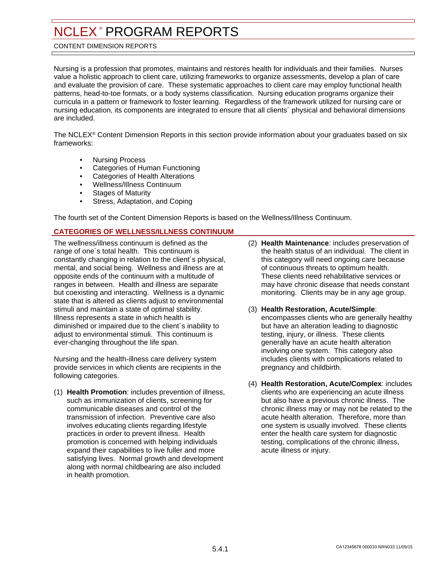#### <span id="page-32-0"></span>CONTENT DIMENSION REPORTS

Nursing is a profession that promotes, maintains and restores health for individuals and their families. Nurses value a holistic approach to client care, utilizing frameworks to organize assessments, develop a plan of care and evaluate the provision of care. These systematic approaches to client care may employ functional health patterns, head-to-toe formats, or a body systems classification. Nursing education programs organize their curricula in a pattern or framework to foster learning. Regardless of the framework utilized for nursing care or nursing education, its components are integrated to ensure that all clients´ physical and behavioral dimensions are included.

The NCLEX® Content Dimension Reports in this section provide information about your graduates based on six frameworks:

- Nursing Process
- Categories of Human Functioning
- Categories of Health Alterations
- Wellness/Illness Continuum
- **Stages of Maturity**
- Stress, Adaptation, and Coping

The fourth set of the Content Dimension Reports is based on the Wellness/Illness Continuum.

#### **CATEGORIES OF WELLNESS/ILLNESS CONTINUUM**

The wellness/illness continuum is defined as the range of one´s total health. This continuum is constantly changing in relation to the client´s physical, mental, and social being. Wellness and illness are at opposite ends of the continuum with a multitude of ranges in between. Health and illness are separate but coexisting and interacting. Wellness is a dynamic state that is altered as clients adjust to environmental stimuli and maintain a state of optimal stability. Illness represents a state in which health is diminished or impaired due to the client´s inability to adiust to environmental stimuli. This continuum is ever-changing throughout the life span.

Nursing and the health-illness care delivery system provide services in which clients are recipients in the following categories.

(1) **Health Promotion**: includes prevention of illness, such as immunization of clients, screening for communicable diseases and control of the transmission of infection. Preventive care also involves educating clients regarding lifestyle practices in order to prevent illness. Health promotion is concerned with helping individuals expand their capabilities to live fuller and more satisfying lives. Normal growth and development along with normal childbearing are also included in health promotion.

- (2) **Health Maintenance**: includes preservation of the health status of an individual. The client in this category will need ongoing care because of continuous threats to optimum health. These clients need rehabilitative services or may have chronic disease that needs constant monitoring. Clients may be in any age group.
- (3) **Health Restoration, Acute/Simple**: encompasses clients who are generally healthy but have an alteration leading to diagnostic testing, injury, or illness. These clients generally have an acute health alteration involving one system. This category also includes clients with complications related to pregnancy and childbirth.
- (4) **Health Restoration, Acute/Complex**: includes clients who are experiencing an acute illness but also have a previous chronic illness. The chronic illness may or may not be related to the acute health alteration. Therefore, more than one system is usually involved. These clients enter the health care system for diagnostic testing, complications of the chronic illness, acute illness or injury.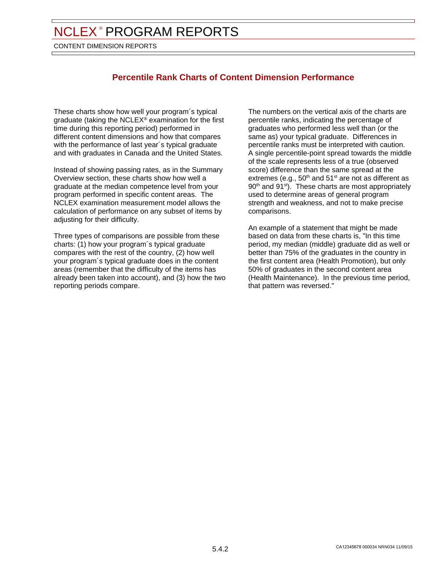CONTENT DIMENSION REPORTS

# **Percentile Rank Charts of Content Dimension Performance**

These charts show how well your program´s typical graduate (taking the NCLEX® examination for the first time during this reporting period) performed in different content dimensions and how that compares with the performance of last year´s typical graduate and with graduates in Canada and the United States.

Instead of showing passing rates, as in the Summary Overview section, these charts show how well a graduate at the median competence level from your program performed in specific content areas. The NCLEX examination measurement model allows the calculation of performance on any subset of items by adjusting for their difficulty.

Three types of comparisons are possible from these charts: (1) how your program´s typical graduate compares with the rest of the country, (2) how well your program´s typical graduate does in the content areas (remember that the difficulty of the items has already been taken into account), and (3) how the two reporting periods compare.

The numbers on the vertical axis of the charts are percentile ranks, indicating the percentage of graduates who performed less well than (or the same as) your typical graduate. Differences in percentile ranks must be interpreted with caution. A single percentile-point spread towards the middle of the scale represents less of a true (observed score) difference than the same spread at the extremes (e.g.,  $50<sup>th</sup>$  and  $51<sup>st</sup>$  are not as different as 90<sup>th</sup> and 91<sup>st</sup>). These charts are most appropriately used to determine areas of general program strength and weakness, and not to make precise comparisons.

An example of a statement that might be made based on data from these charts is, "In this time period, my median (middle) graduate did as well or better than 75% of the graduates in the country in the first content area (Health Promotion), but only 50% of graduates in the second content area (Health Maintenance). In the previous time period, that pattern was reversed."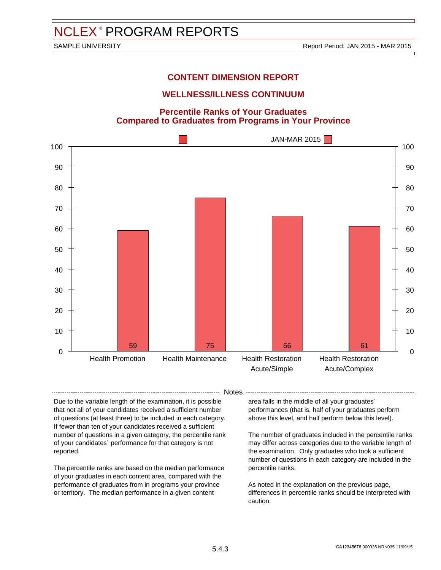# **WELLNESS/ILLNESS CONTINUUM**

**Percentile Ranks of Your Graduates Compared to Graduates from Programs in Your Province**

![](_page_34_Figure_6.jpeg)

-- Notes --

Due to the variable length of the examination, it is possible that not all of your candidates received a sufficient number of questions (at least three) to be included in each category. If fewer than ten of your candidates received a sufficient number of questions in a given category, the percentile rank of your candidates´ performance for that category is not reported.

The percentile ranks are based on the median performance of your graduates in each content area, compared with the performance of graduates from in programs your province or territory. The median performance in a given content

area falls in the middle of all your graduates´ performances (that is, half of your graduates perform above this level, and half perform below this level).

The number of graduates included in the percentile ranks may differ across categories due to the variable length of the examination. Only graduates who took a sufficient number of questions in each category are included in the percentile ranks.

As noted in the explanation on the previous page, differences in percentile ranks should be interpreted with caution.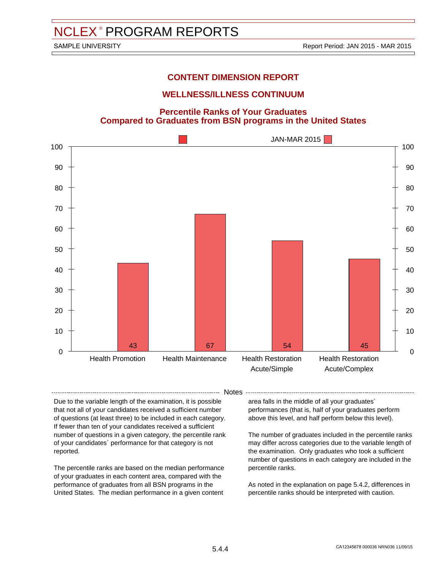# **WELLNESS/ILLNESS CONTINUUM**

**Percentile Ranks of Your Graduates Compared to Graduates from BSN programs in the United States**

![](_page_35_Figure_6.jpeg)

-- Notes --

Due to the variable length of the examination, it is possible that not all of your candidates received a sufficient number of questions (at least three) to be included in each category. If fewer than ten of your candidates received a sufficient number of questions in a given category, the percentile rank of your candidates´ performance for that category is not reported.

The percentile ranks are based on the median performance of your graduates in each content area, compared with the performance of graduates from all BSN programs in the United States. The median performance in a given content

area falls in the middle of all your graduates´ performances (that is, half of your graduates perform above this level, and half perform below this level).

The number of graduates included in the percentile ranks may differ across categories due to the variable length of the examination. Only graduates who took a sufficient number of questions in each category are included in the percentile ranks.

As noted in the explanation on page 5.4.2, differences in percentile ranks should be interpreted with caution.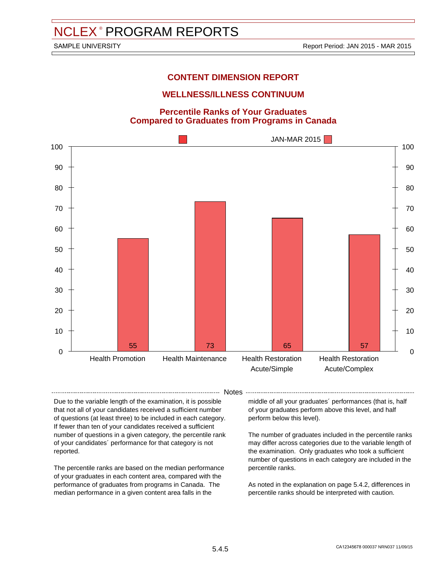# **WELLNESS/ILLNESS CONTINUUM**

#### **Percentile Ranks of Your Graduates Compared to Graduates from Programs in Canada**

![](_page_36_Figure_6.jpeg)

- Notes -

Due to the variable length of the examination, it is possible that not all of your candidates received a sufficient number of questions (at least three) to be included in each category. If fewer than ten of your candidates received a sufficient number of questions in a given category, the percentile rank of your candidates´ performance for that category is not reported.

The percentile ranks are based on the median performance of your graduates in each content area, compared with the performance of graduates from programs in Canada. The median performance in a given content area falls in the

middle of all your graduates´ performances (that is, half of your graduates perform above this level, and half perform below this level).

The number of graduates included in the percentile ranks may differ across categories due to the variable length of the examination. Only graduates who took a sufficient number of questions in each category are included in the percentile ranks.

As noted in the explanation on page 5.4.2, differences in percentile ranks should be interpreted with caution.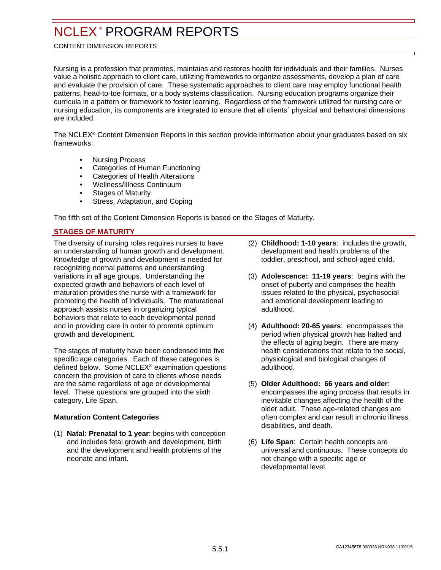#### <span id="page-37-0"></span>CONTENT DIMENSION REPORTS

Nursing is a profession that promotes, maintains and restores health for individuals and their families. Nurses value a holistic approach to client care, utilizing frameworks to organize assessments, develop a plan of care and evaluate the provision of care. These systematic approaches to client care may employ functional health patterns, head-to-toe formats, or a body systems classification. Nursing education programs organize their curricula in a pattern or framework to foster learning. Regardless of the framework utilized for nursing care or nursing education, its components are integrated to ensure that all clients´ physical and behavioral dimensions are included.

The NCLEX® Content Dimension Reports in this section provide information about your graduates based on six frameworks:

- Nursing Process
- Categories of Human Functioning
- Categories of Health Alterations
- Wellness/Illness Continuum
- **Stages of Maturity**
- Stress, Adaptation, and Coping

The fifth set of the Content Dimension Reports is based on the Stages of Maturity.

#### **STAGES OF MATURITY**

The diversity of nursing roles requires nurses to have an understanding of human growth and development. Knowledge of growth and development is needed for recognizing normal patterns and understanding variations in all age groups. Understanding the expected growth and behaviors of each level of maturation provides the nurse with a framework for promoting the health of individuals. The maturational approach assists nurses in organizing typical behaviors that relate to each developmental period and in providing care in order to promote optimum growth and development.

The stages of maturity have been condensed into five specific age categories. Each of these categories is defined below. Some NCLEX® examination questions concern the provision of care to clients whose needs are the same regardless of age or developmental level. These questions are grouped into the sixth category, Life Span.

#### **Maturation Content Categories**

(1) **Natal: Prenatal to 1 year**: begins with conception and includes fetal growth and development, birth and the development and health problems of the neonate and infant.

- (2) **Childhood: 1-10 years**: includes the growth, development and health problems of the toddler, preschool, and school-aged child.
- (3) **Adolescence: 11-19 years**: begins with the onset of puberty and comprises the health issues related to the physical, psychosocial and emotional development leading to adulthood.
- (4) **Adulthood: 20-65 years**: encompasses the period when physical growth has halted and the effects of aging begin. There are many health considerations that relate to the social, physiological and biological changes of adulthood.
- (5) **Older Adulthood: 66 years and older**: encompasses the aging process that results in inevitable changes affecting the health of the older adult. These age-related changes are often complex and can result in chronic illness, disabilities, and death.
- (6) **Life Span**: Certain health concepts are universal and continuous. These concepts do not change with a specific age or developmental level.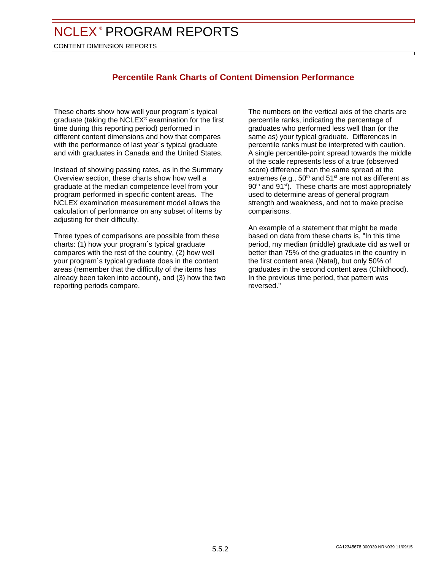CONTENT DIMENSION REPORTS

# **Percentile Rank Charts of Content Dimension Performance**

These charts show how well your program´s typical graduate (taking the NCLEX® examination for the first time during this reporting period) performed in different content dimensions and how that compares with the performance of last year´s typical graduate and with graduates in Canada and the United States.

Instead of showing passing rates, as in the Summary Overview section, these charts show how well a graduate at the median competence level from your program performed in specific content areas. The NCLEX examination measurement model allows the calculation of performance on any subset of items by adjusting for their difficulty.

Three types of comparisons are possible from these charts: (1) how your program´s typical graduate compares with the rest of the country, (2) how well your program´s typical graduate does in the content areas (remember that the difficulty of the items has already been taken into account), and (3) how the two reporting periods compare.

The numbers on the vertical axis of the charts are percentile ranks, indicating the percentage of graduates who performed less well than (or the same as) your typical graduate. Differences in percentile ranks must be interpreted with caution. A single percentile-point spread towards the middle of the scale represents less of a true (observed score) difference than the same spread at the extremes (e.g.,  $50<sup>th</sup>$  and  $51<sup>st</sup>$  are not as different as 90<sup>th</sup> and 91<sup>st</sup>). These charts are most appropriately used to determine areas of general program strength and weakness, and not to make precise comparisons.

An example of a statement that might be made based on data from these charts is, "In this time period, my median (middle) graduate did as well or better than 75% of the graduates in the country in the first content area (Natal), but only 50% of graduates in the second content area (Childhood). In the previous time period, that pattern was reversed."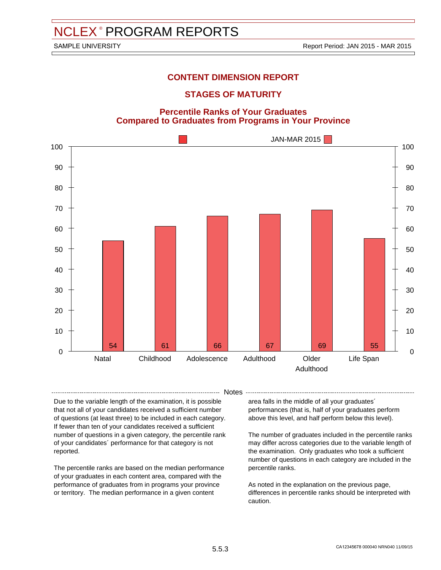### **STAGES OF MATURITY**

#### **Percentile Ranks of Your Graduates Compared to Graduates from Programs in Your Province**

![](_page_39_Figure_6.jpeg)

-- Notes --

Due to the variable length of the examination, it is possible that not all of your candidates received a sufficient number of questions (at least three) to be included in each category. If fewer than ten of your candidates received a sufficient number of questions in a given category, the percentile rank of your candidates´ performance for that category is not reported.

The percentile ranks are based on the median performance of your graduates in each content area, compared with the performance of graduates from in programs your province or territory. The median performance in a given content

area falls in the middle of all your graduates´

performances (that is, half of your graduates perform above this level, and half perform below this level).

The number of graduates included in the percentile ranks may differ across categories due to the variable length of the examination. Only graduates who took a sufficient number of questions in each category are included in the percentile ranks.

As noted in the explanation on the previous page, differences in percentile ranks should be interpreted with caution.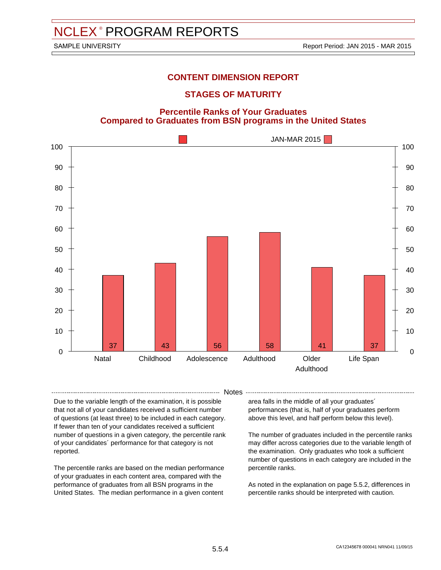### **STAGES OF MATURITY**

**Percentile Ranks of Your Graduates Compared to Graduates from BSN programs in the United States**

![](_page_40_Figure_6.jpeg)

-- Notes --

Due to the variable length of the examination, it is possible that not all of your candidates received a sufficient number of questions (at least three) to be included in each category. If fewer than ten of your candidates received a sufficient number of questions in a given category, the percentile rank of your candidates´ performance for that category is not reported.

The percentile ranks are based on the median performance of your graduates in each content area, compared with the performance of graduates from all BSN programs in the United States. The median performance in a given content

area falls in the middle of all your graduates´ performances (that is, half of your graduates perform above this level, and half perform below this level).

The number of graduates included in the percentile ranks may differ across categories due to the variable length of the examination. Only graduates who took a sufficient number of questions in each category are included in the percentile ranks.

As noted in the explanation on page 5.5.2, differences in percentile ranks should be interpreted with caution.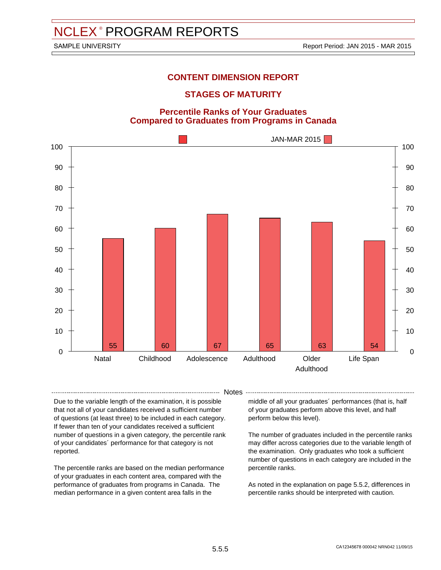### **STAGES OF MATURITY**

#### **Percentile Ranks of Your Graduates Compared to Graduates from Programs in Canada**

![](_page_41_Figure_6.jpeg)

- Notes -

Due to the variable length of the examination, it is possible that not all of your candidates received a sufficient number of questions (at least three) to be included in each category. If fewer than ten of your candidates received a sufficient number of questions in a given category, the percentile rank of your candidates´ performance for that category is not reported.

The percentile ranks are based on the median performance of your graduates in each content area, compared with the performance of graduates from programs in Canada. The median performance in a given content area falls in the

middle of all your graduates´ performances (that is, half of your graduates perform above this level, and half perform below this level).

The number of graduates included in the percentile ranks may differ across categories due to the variable length of the examination. Only graduates who took a sufficient number of questions in each category are included in the percentile ranks.

As noted in the explanation on page 5.5.2, differences in percentile ranks should be interpreted with caution.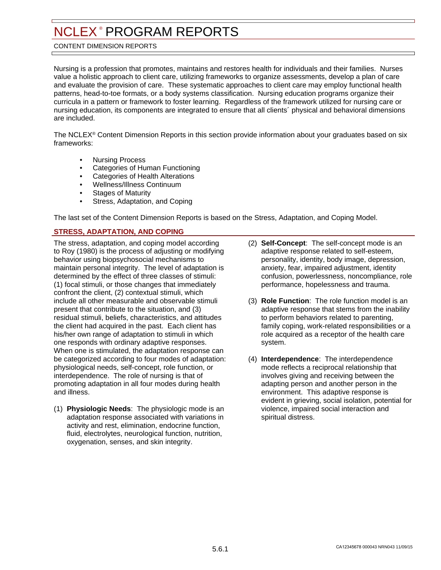#### <span id="page-42-0"></span>CONTENT DIMENSION REPORTS

Nursing is a profession that promotes, maintains and restores health for individuals and their families. Nurses value a holistic approach to client care, utilizing frameworks to organize assessments, develop a plan of care and evaluate the provision of care. These systematic approaches to client care may employ functional health patterns, head-to-toe formats, or a body systems classification. Nursing education programs organize their curricula in a pattern or framework to foster learning. Regardless of the framework utilized for nursing care or nursing education, its components are integrated to ensure that all clients´ physical and behavioral dimensions are included.

The NCLEX® Content Dimension Reports in this section provide information about your graduates based on six frameworks:

- Nursing Process
- Categories of Human Functioning
- Categories of Health Alterations
- Wellness/Illness Continuum
- **Stages of Maturity**
- Stress, Adaptation, and Coping

The last set of the Content Dimension Reports is based on the Stress, Adaptation, and Coping Model.

#### **STRESS, ADAPTATION, AND COPING**

The stress, adaptation, and coping model according to Roy (1980) is the process of adjusting or modifying behavior using biopsychosocial mechanisms to maintain personal integrity. The level of adaptation is determined by the effect of three classes of stimuli: (1) focal stimuli, or those changes that immediately confront the client, (2) contextual stimuli, which include all other measurable and observable stimuli present that contribute to the situation, and (3) residual stimuli, beliefs, characteristics, and attitudes the client had acquired in the past. Each client has his/her own range of adaptation to stimuli in which one responds with ordinary adaptive responses. When one is stimulated, the adaptation response can be categorized according to four modes of adaptation: physiological needs, self-concept, role function, or interdependence. The role of nursing is that of promoting adaptation in all four modes during health and illness.

(1) **Physiologic Needs**: The physiologic mode is an adaptation response associated with variations in activity and rest, elimination, endocrine function, fluid, electrolytes, neurological function, nutrition, oxygenation, senses, and skin integrity.

- (2) **Self-Concept**: The self-concept mode is an adaptive response related to self-esteem, personality, identity, body image, depression, anxiety, fear, impaired adjustment, identity confusion, powerlessness, noncompliance, role performance, hopelessness and trauma.
- (3) **Role Function**: The role function model is an adaptive response that stems from the inability to perform behaviors related to parenting, family coping, work-related responsibilities or a role acquired as a receptor of the health care system.
- (4) **Interdependence**: The interdependence mode reflects a reciprocal relationship that involves giving and receiving between the adapting person and another person in the environment. This adaptive response is evident in grieving, social isolation, potential for violence, impaired social interaction and spiritual distress.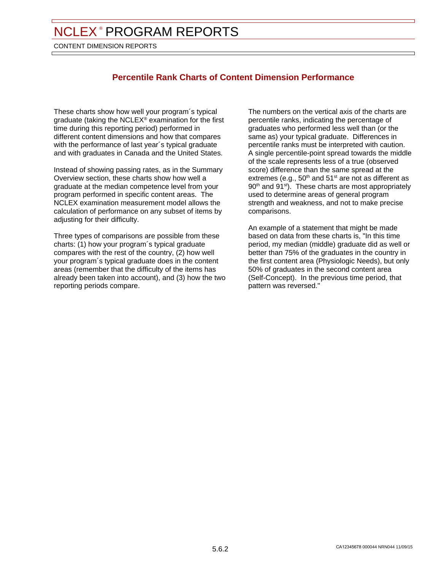CONTENT DIMENSION REPORTS

# **Percentile Rank Charts of Content Dimension Performance**

These charts show how well your program´s typical graduate (taking the NCLEX® examination for the first time during this reporting period) performed in different content dimensions and how that compares with the performance of last year´s typical graduate and with graduates in Canada and the United States.

Instead of showing passing rates, as in the Summary Overview section, these charts show how well a graduate at the median competence level from your program performed in specific content areas. The NCLEX examination measurement model allows the calculation of performance on any subset of items by adjusting for their difficulty.

Three types of comparisons are possible from these charts: (1) how your program´s typical graduate compares with the rest of the country, (2) how well your program´s typical graduate does in the content areas (remember that the difficulty of the items has already been taken into account), and (3) how the two reporting periods compare.

The numbers on the vertical axis of the charts are percentile ranks, indicating the percentage of graduates who performed less well than (or the same as) your typical graduate. Differences in percentile ranks must be interpreted with caution. A single percentile-point spread towards the middle of the scale represents less of a true (observed score) difference than the same spread at the extremes (e.g.,  $50<sup>th</sup>$  and  $51<sup>st</sup>$  are not as different as 90<sup>th</sup> and 91<sup>st</sup>). These charts are most appropriately used to determine areas of general program strength and weakness, and not to make precise comparisons.

An example of a statement that might be made based on data from these charts is, "In this time period, my median (middle) graduate did as well or better than 75% of the graduates in the country in the first content area (Physiologic Needs), but only 50% of graduates in the second content area (Self-Concept). In the previous time period, that pattern was reversed."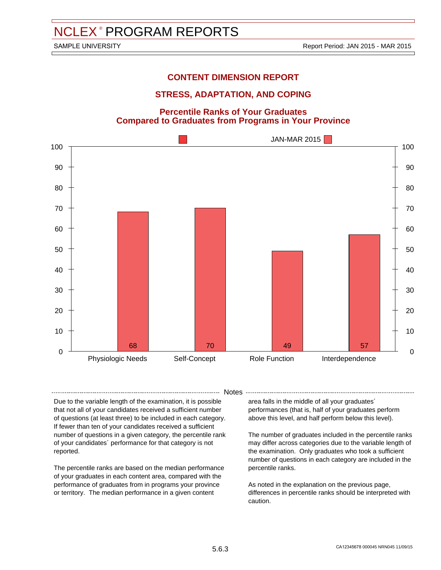# **STRESS, ADAPTATION, AND COPING**

#### **Percentile Ranks of Your Graduates Compared to Graduates from Programs in Your Province**

![](_page_44_Figure_6.jpeg)

-- Notes --

Due to the variable length of the examination, it is possible that not all of your candidates received a sufficient number of questions (at least three) to be included in each category. If fewer than ten of your candidates received a sufficient number of questions in a given category, the percentile rank of your candidates´ performance for that category is not reported.

The percentile ranks are based on the median performance of your graduates in each content area, compared with the performance of graduates from in programs your province or territory. The median performance in a given content

area falls in the middle of all your graduates´ performances (that is, half of your graduates perform above this level, and half perform below this level).

The number of graduates included in the percentile ranks may differ across categories due to the variable length of the examination. Only graduates who took a sufficient number of questions in each category are included in the percentile ranks.

As noted in the explanation on the previous page, differences in percentile ranks should be interpreted with caution.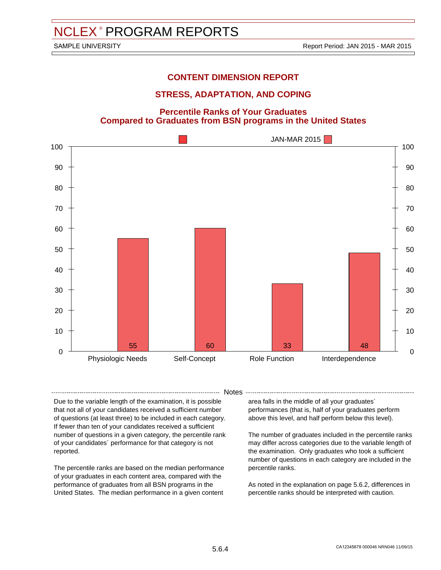# **STRESS, ADAPTATION, AND COPING**

**Percentile Ranks of Your Graduates Compared to Graduates from BSN programs in the United States**

![](_page_45_Figure_6.jpeg)

-- Notes --

Due to the variable length of the examination, it is possible that not all of your candidates received a sufficient number of questions (at least three) to be included in each category. If fewer than ten of your candidates received a sufficient number of questions in a given category, the percentile rank of your candidates´ performance for that category is not reported.

The percentile ranks are based on the median performance of your graduates in each content area, compared with the performance of graduates from all BSN programs in the United States. The median performance in a given content

area falls in the middle of all your graduates´ performances (that is, half of your graduates perform above this level, and half perform below this level).

The number of graduates included in the percentile ranks may differ across categories due to the variable length of the examination. Only graduates who took a sufficient number of questions in each category are included in the percentile ranks.

As noted in the explanation on page 5.6.2, differences in percentile ranks should be interpreted with caution.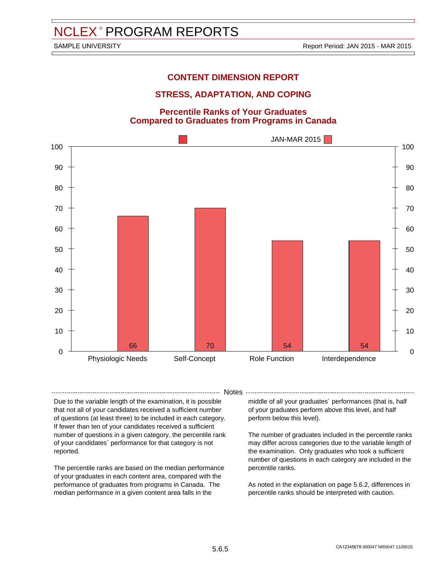# **STRESS, ADAPTATION, AND COPING**

#### **Percentile Ranks of Your Graduates Compared to Graduates from Programs in Canada**

![](_page_46_Figure_6.jpeg)

- Notes -

Due to the variable length of the examination, it is possible that not all of your candidates received a sufficient number of questions (at least three) to be included in each category. If fewer than ten of your candidates received a sufficient number of questions in a given category, the percentile rank of your candidates´ performance for that category is not reported.

The percentile ranks are based on the median performance of your graduates in each content area, compared with the performance of graduates from programs in Canada. The median performance in a given content area falls in the

middle of all your graduates´ performances (that is, half of your graduates perform above this level, and half perform below this level).

The number of graduates included in the percentile ranks may differ across categories due to the variable length of the examination. Only graduates who took a sufficient number of questions in each category are included in the percentile ranks.

As noted in the explanation on page 5.6.2, differences in percentile ranks should be interpreted with caution.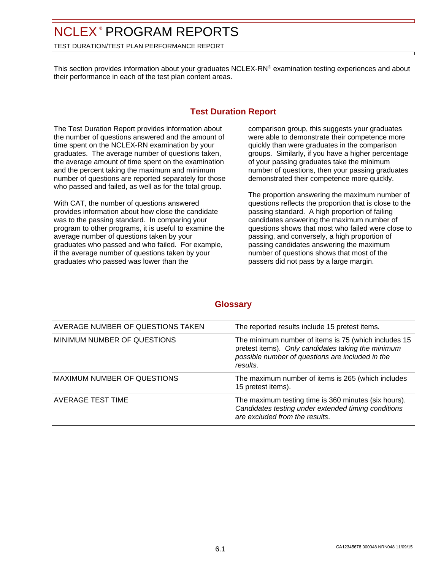<span id="page-47-0"></span>TEST DURATION/TEST PLAN PERFORMANCE REPORT

This section provides information about your graduates NCLEX-RN® examination testing experiences and about their performance in each of the test plan content areas.

# **Test Duration Report**

The Test Duration Report provides information about the number of questions answered and the amount of time spent on the NCLEX-RN examination by your graduates. The average number of questions taken, the average amount of time spent on the examination and the percent taking the maximum and minimum number of questions are reported separately for those who passed and failed, as well as for the total group.

With CAT, the number of questions answered provides information about how close the candidate was to the passing standard. In comparing your program to other programs, it is useful to examine the average number of questions taken by your graduates who passed and who failed. For example, if the average number of questions taken by your graduates who passed was lower than the

comparison group, this suggests your graduates were able to demonstrate their competence more quickly than were graduates in the comparison groups. Similarly, if you have a higher percentage of your passing graduates take the minimum number of questions, then your passing graduates demonstrated their competence more quickly.

The proportion answering the maximum number of questions reflects the proportion that is close to the passing standard. A high proportion of failing candidates answering the maximum number of questions shows that most who failed were close to passing, and conversely, a high proportion of passing candidates answering the maximum number of questions shows that most of the passers did not pass by a large margin.

| AVERAGE NUMBER OF QUESTIONS TAKEN | The reported results include 15 pretest items.                                                                                                                             |
|-----------------------------------|----------------------------------------------------------------------------------------------------------------------------------------------------------------------------|
| MINIMUM NUMBER OF QUESTIONS       | The minimum number of items is 75 (which includes 15<br>pretest items). Only candidates taking the minimum<br>possible number of questions are included in the<br>results. |
| MAXIMUM NUMBER OF QUESTIONS       | The maximum number of items is 265 (which includes<br>15 pretest items).                                                                                                   |
| AVERAGE TEST TIME                 | The maximum testing time is 360 minutes (six hours).<br>Candidates testing under extended timing conditions<br>are excluded from the results.                              |

# **Glossary**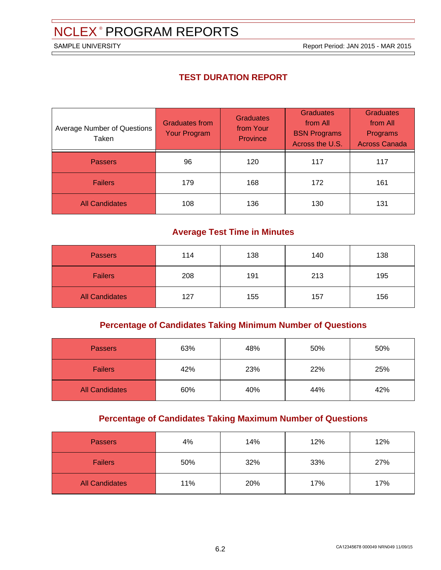SAMPLE UNIVERSITY **SAMPLE UNIVERSITY Report Period: JAN 2015 - MAR 2015** 

# **TEST DURATION REPORT**

| <b>Average Number of Questions</b><br>Taken | <b>Graduates from</b><br><b>Your Program</b> | <b>Graduates</b><br>from Your<br><b>Province</b> | <b>Graduates</b><br>from All<br><b>BSN Programs</b><br>Across the U.S. | <b>Graduates</b><br>from All<br>Programs<br><b>Across Canada</b> |
|---------------------------------------------|----------------------------------------------|--------------------------------------------------|------------------------------------------------------------------------|------------------------------------------------------------------|
| <b>Passers</b>                              | 96                                           | 120                                              | 117                                                                    | 117                                                              |
| <b>Failers</b>                              | 179                                          | 168                                              | 172                                                                    | 161                                                              |
| <b>All Candidates</b>                       | 108                                          | 136                                              | 130                                                                    | 131                                                              |

# **Average Test Time in Minutes**

| <b>Passers</b>        | 114 | 138 | 140 | 138 |
|-----------------------|-----|-----|-----|-----|
| <b>Failers</b>        | 208 | 191 | 213 | 195 |
| <b>All Candidates</b> | 127 | 155 | 157 | 156 |

# **Percentage of Candidates Taking Minimum Number of Questions**

| <b>Passers</b>        | 63% | 48% | 50% | 50% |
|-----------------------|-----|-----|-----|-----|
| <b>Failers</b>        | 42% | 23% | 22% | 25% |
| <b>All Candidates</b> | 60% | 40% | 44% | 42% |

# **Percentage of Candidates Taking Maximum Number of Questions**

| <b>Passers</b>        | 4%  | 14% | 12% | 12% |
|-----------------------|-----|-----|-----|-----|
| <b>Failers</b>        | 50% | 32% | 33% | 27% |
| <b>All Candidates</b> | 11% | 20% | 17% | 17% |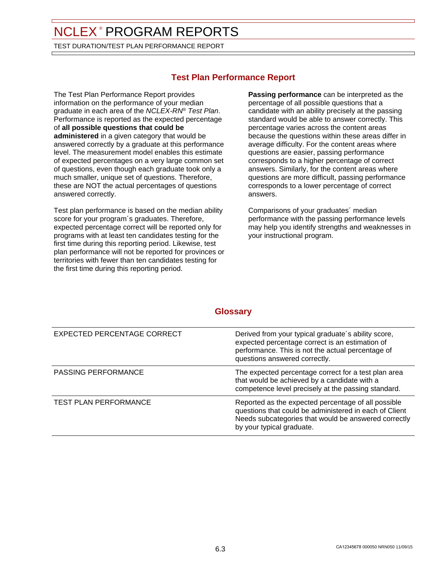TEST DURATION/TEST PLAN PERFORMANCE REPORT

# **Test Plan Performance Report**

The Test Plan Performance Report provides information on the performance of your median graduate in each area of the NCLEX-RN® Test Plan. Performance is reported as the expected percentage of **all possible questions that could be administered** in a given category that would be answered correctly by a graduate at this performance level. The measurement model enables this estimate of expected percentages on a very large common set of questions, even though each graduate took only a much smaller, unique set of questions. Therefore, these are NOT the actual percentages of questions answered correctly.

Test plan performance is based on the median ability score for your program´s graduates. Therefore, expected percentage correct will be reported only for programs with at least ten candidates testing for the first time during this reporting period. Likewise, test plan performance will not be reported for provinces or territories with fewer than ten candidates testing for the first time during this reporting period.

**Passing performance** can be interpreted as the percentage of all possible questions that a candidate with an ability precisely at the passing standard would be able to answer correctly. This percentage varies across the content areas because the questions within these areas differ in average difficulty. For the content areas where questions are easier, passing performance corresponds to a higher percentage of correct answers. Similarly, for the content areas where questions are more difficult, passing performance corresponds to a lower percentage of correct answers.

Comparisons of your graduates´ median performance with the passing performance levels may help you identify strengths and weaknesses in your instructional program.

# **Glossary**

| EXPECTED PERCENTAGE CORRECT | Derived from your typical graduate's ability score,<br>expected percentage correct is an estimation of<br>performance. This is not the actual percentage of<br>questions answered correctly.       |
|-----------------------------|----------------------------------------------------------------------------------------------------------------------------------------------------------------------------------------------------|
| <b>PASSING PERFORMANCE</b>  | The expected percentage correct for a test plan area<br>that would be achieved by a candidate with a<br>competence level precisely at the passing standard.                                        |
| TEST PLAN PERFORMANCE       | Reported as the expected percentage of all possible<br>questions that could be administered in each of Client<br>Needs subcategories that would be answered correctly<br>by your typical graduate. |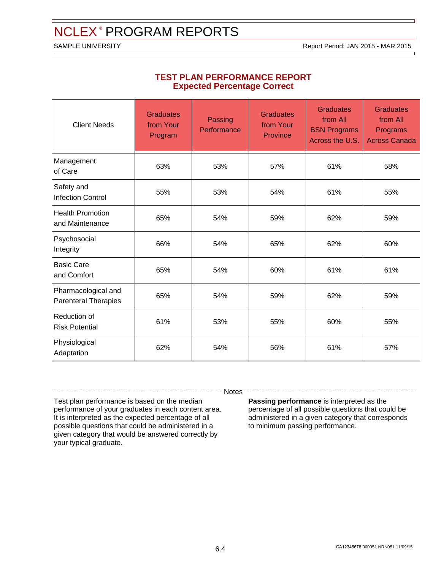SAMPLE UNIVERSITY **SAMPLE UNIVERSITY Report Period: JAN 2015 - MAR 2015** 

| <b>Client Needs</b>                                | <b>Graduates</b><br>from Your<br>Program | Passing<br>Performance | <b>Graduates</b><br>from Your<br>Province | <b>Graduates</b><br>from All<br><b>BSN Programs</b><br>Across the U.S. | <b>Graduates</b><br>from All<br>Programs<br><b>Across Canada</b> |
|----------------------------------------------------|------------------------------------------|------------------------|-------------------------------------------|------------------------------------------------------------------------|------------------------------------------------------------------|
| Management<br>of Care                              | 63%                                      | 53%                    | 57%                                       | 61%                                                                    | 58%                                                              |
| Safety and<br><b>Infection Control</b>             | 55%                                      | 53%                    | 54%                                       | 61%                                                                    | 55%                                                              |
| <b>Health Promotion</b><br>and Maintenance         | 65%                                      | 54%                    | 59%                                       | 62%                                                                    | 59%                                                              |
| Psychosocial<br>Integrity                          | 66%                                      | 54%                    | 65%                                       | 62%                                                                    | 60%                                                              |
| <b>Basic Care</b><br>and Comfort                   | 65%                                      | 54%                    | 60%                                       | 61%                                                                    | 61%                                                              |
| Pharmacological and<br><b>Parenteral Therapies</b> | 65%                                      | 54%                    | 59%                                       | 62%                                                                    | 59%                                                              |
| Reduction of<br><b>Risk Potential</b>              | 61%                                      | 53%                    | 55%                                       | 60%                                                                    | 55%                                                              |
| Physiological<br>Adaptation                        | 62%                                      | 54%                    | 56%                                       | 61%                                                                    | 57%                                                              |

#### **TEST PLAN PERFORMANCE REPORT Expected Percentage Correct**

-------- Notes --

Test plan performance is based on the median performance of your graduates in each content area. It is interpreted as the expected percentage of all possible questions that could be administered in a given category that would be answered correctly by your typical graduate.

#### **Passing performance** is interpreted as the percentage of all possible questions that could be administered in a given category that corresponds to minimum passing performance.